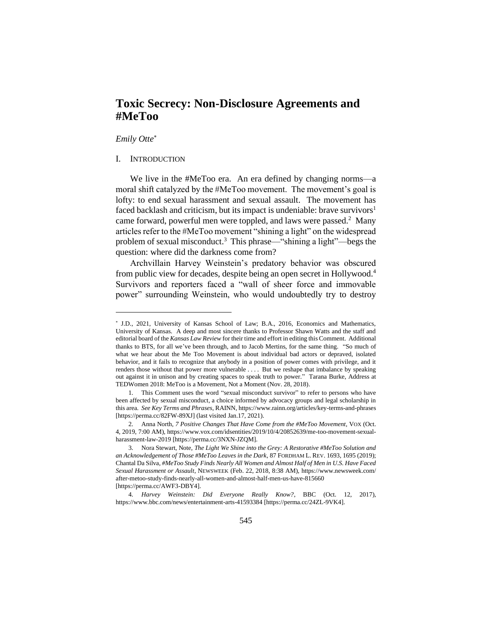# **Toxic Secrecy: Non-Disclosure Agreements and #MeToo**

# *Emily Otte*

# I. INTRODUCTION

We live in the #MeToo era. An era defined by changing norms—a moral shift catalyzed by the #MeToo movement. The movement's goal is lofty: to end sexual harassment and sexual assault. The movement has faced backlash and criticism, but its impact is undeniable: brave survivors<sup>1</sup> came forward, powerful men were toppled, and laws were passed.<sup>2</sup> Many articles refer to the #MeToo movement "shining a light" on the widespread problem of sexual misconduct.<sup>3</sup> This phrase—"shining a light"—begs the question: where did the darkness come from?

Archvillain Harvey Weinstein's predatory behavior was obscured from public view for decades, despite being an open secret in Hollywood.<sup>4</sup> Survivors and reporters faced a "wall of sheer force and immovable power" surrounding Weinstein, who would undoubtedly try to destroy

J.D., 2021, University of Kansas School of Law; B.A., 2016, Economics and Mathematics, University of Kansas. A deep and most sincere thanks to Professor Shawn Watts and the staff and editorial board of the *Kansas Law Review* for their time and effort in editing this Comment. Additional thanks to BTS, for all we've been through, and to Jacob Mertins, for the same thing. "So much of what we hear about the Me Too Movement is about individual bad actors or depraved, isolated behavior, and it fails to recognize that anybody in a position of power comes with privilege, and it renders those without that power more vulnerable . . . . But we reshape that imbalance by speaking out against it in unison and by creating spaces to speak truth to power." Tarana Burke, Address at TEDWomen 2018: MeToo is a Movement, Not a Moment (Nov. 28, 2018).

<sup>1.</sup> This Comment uses the word "sexual misconduct survivor" to refer to persons who have been affected by sexual misconduct, a choice informed by advocacy groups and legal scholarship in this area. *See Key Terms and Phrases*, RAINN, https://www.rainn.org/articles/key-terms-and-phrases [https://perma.cc/82FW-89XJ] (last visited Jan.17, 2021).

<sup>2.</sup> Anna North, *7 Positive Changes That Have Come from the #MeToo Movement*, VOX (Oct. 4, 2019, 7:00 AM), https://www.vox.com/idsentities/2019/10/4/20852639/me-too-movement-sexualharassment-law-2019 [https://perma.cc/3NXN-JZQM].

<sup>3.</sup> Nora Stewart, Note, *The Light We Shine into the Grey: A Restorative #MeToo Solution and an Acknowledgement of Those #MeToo Leaves in the Dark*, 87 FORDHAM L. REV. 1693, 1695 (2019); Chantal Da Silva, *#MeToo Study Finds Nearly All Women and Almost Half of Men in U.S. Have Faced Sexual Harassment or Assault*, NEWSWEEK (Feb. 22, 2018, 8:38 AM), https://www.newsweek.com/ after-metoo-study-finds-nearly-all-women-and-almost-half-men-us-have-815660 [https://perma.cc/AWF3-DBY4].

<sup>4.</sup> *Harvey Weinstein: Did Everyone Really Know?*, BBC (Oct. 12, 2017), https://www.bbc.com/news/entertainment-arts-41593384 [https://perma.cc/24ZL-9VK4].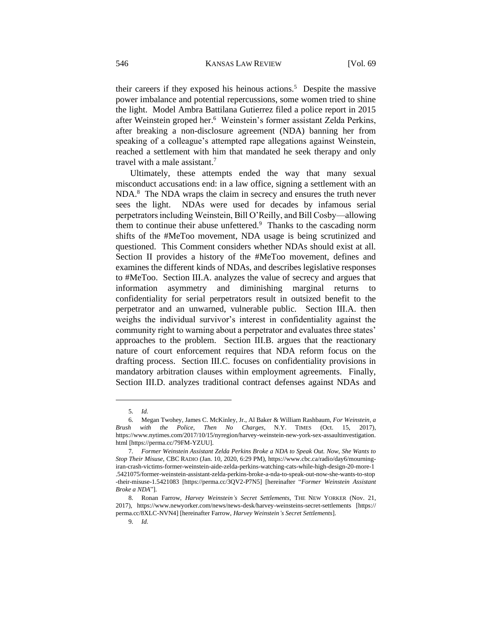their careers if they exposed his heinous actions.<sup>5</sup> Despite the massive power imbalance and potential repercussions, some women tried to shine the light. Model Ambra Battilana Gutierrez filed a police report in 2015 after Weinstein groped her.<sup>6</sup> Weinstein's former assistant Zelda Perkins, after breaking a non-disclosure agreement (NDA) banning her from speaking of a colleague's attempted rape allegations against Weinstein, reached a settlement with him that mandated he seek therapy and only travel with a male assistant.<sup>7</sup>

Ultimately, these attempts ended the way that many sexual misconduct accusations end: in a law office, signing a settlement with an NDA.<sup>8</sup> The NDA wraps the claim in secrecy and ensures the truth never sees the light. NDAs were used for decades by infamous serial perpetrators including Weinstein, Bill O'Reilly, and Bill Cosby—allowing them to continue their abuse unfettered. $9$  Thanks to the cascading norm shifts of the #MeToo movement, NDA usage is being scrutinized and questioned. This Comment considers whether NDAs should exist at all. Section II provides a history of the #MeToo movement, defines and examines the different kinds of NDAs, and describes legislative responses to #MeToo. Section III.A. analyzes the value of secrecy and argues that information asymmetry and diminishing marginal returns to confidentiality for serial perpetrators result in outsized benefit to the perpetrator and an unwarned, vulnerable public. Section III.A. then weighs the individual survivor's interest in confidentiality against the community right to warning about a perpetrator and evaluates three states' approaches to the problem. Section III.B. argues that the reactionary nature of court enforcement requires that NDA reform focus on the drafting process. Section III.C. focuses on confidentiality provisions in mandatory arbitration clauses within employment agreements. Finally, Section III.D. analyzes traditional contract defenses against NDAs and

<sup>5.</sup> *Id.*

<sup>6.</sup> Megan Twohey, James C. McKinley, Jr., Al Baker & William Rashbaum, *For Weinstein, a Brush with the Police, Then No Charges*, N.Y. TIMES (Oct. 15, 2017), https://www.nytimes.com/2017/10/15/nyregion/harvey-weinstein-new-york-sex-assaultinvestigation. html [https://perma.cc/79FM-YZUU].

<sup>7.</sup> *Former Weinstein Assistant Zelda Perkins Broke a NDA to Speak Out. Now, She Wants to Stop Their Misuse*, CBC RADIO (Jan. 10, 2020, 6:29 PM), https://www.cbc.ca/radio/day6/mourningiran-crash-victims-former-weinstein-aide-zelda-perkins-watching-cats-while-high-design-20-more-1 .5421075/former-weinstein-assistant-zelda-perkins-broke-a-nda-to-speak-out-now-she-wants-to-stop -their-misuse-1.5421083 [https://perma.cc/3QV2-P7N5] [hereinafter "*Former Weinstein Assistant Broke a NDA*"].

<sup>8.</sup> Ronan Farrow, *Harvey Weinstein's Secret Settlements*, THE NEW YORKER (Nov. 21, 2017), https://www.newyorker.com/news/news-desk/harvey-weinsteins-secret-settlements [https:// perma.cc/8XLC-NVN4] [hereinafter Farrow, *Harvey Weinstein's Secret Settlements*].

<sup>9.</sup> *Id.*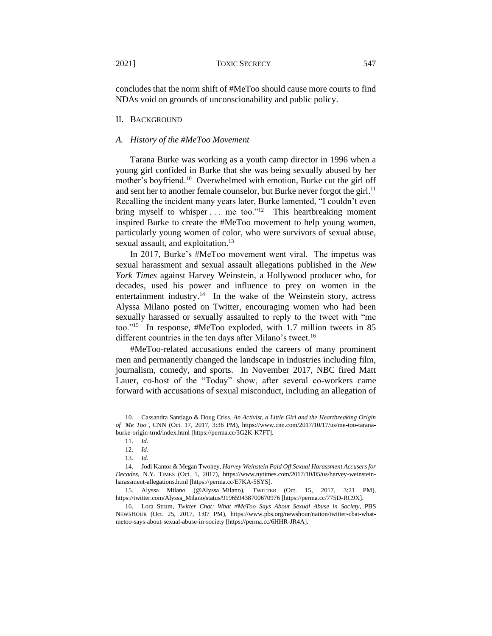concludes that the norm shift of #MeToo should cause more courts to find NDAs void on grounds of unconscionability and public policy.

### II. BACKGROUND

#### *A. History of the #MeToo Movement*

Tarana Burke was working as a youth camp director in 1996 when a young girl confided in Burke that she was being sexually abused by her mother's boyfriend.<sup>10</sup> Overwhelmed with emotion, Burke cut the girl off and sent her to another female counselor, but Burke never forgot the girl.<sup>11</sup> Recalling the incident many years later, Burke lamented, "I couldn't even bring myself to whisper ... me too."<sup>12</sup> This heartbreaking moment inspired Burke to create the #MeToo movement to help young women, particularly young women of color, who were survivors of sexual abuse, sexual assault, and exploitation.<sup>13</sup>

In 2017, Burke's #MeToo movement went viral. The impetus was sexual harassment and sexual assault allegations published in the *New York Times* against Harvey Weinstein, a Hollywood producer who, for decades, used his power and influence to prey on women in the entertainment industry.<sup>14</sup> In the wake of the Weinstein story, actress Alyssa Milano posted on Twitter, encouraging women who had been sexually harassed or sexually assaulted to reply to the tweet with "me too."<sup>15</sup> In response, #MeToo exploded, with 1.7 million tweets in 85 different countries in the ten days after Milano's tweet.<sup>16</sup>

#MeToo-related accusations ended the careers of many prominent men and permanently changed the landscape in industries including film, journalism, comedy, and sports. In November 2017, NBC fired Matt Lauer, co-host of the "Today" show, after several co-workers came forward with accusations of sexual misconduct, including an allegation of

<sup>10.</sup> Cassandra Santiago & Doug Criss, *An Activist, a Little Girl and the Heartbreaking Origin of 'Me Too'*, CNN (Oct. 17, 2017, 3:36 PM), https://www.cnn.com/2017/10/17/us/me-too-taranaburke-origin-trnd/index.html [https://perma.cc/3G2K-K7FT].

<sup>11.</sup> *Id.*

<sup>12.</sup> *Id.*

<sup>13.</sup> *Id.*

<sup>14.</sup> Jodi Kantor & Megan Twohey, *Harvey Weinstein Paid Off Sexual Harassment Accusers for Decades*, N.Y. TIMES (Oct. 5, 2017), https://www.nytimes.com/2017/10/05/us/harvey-weinsteinharassment-allegations.html [https://perma.cc/E7KA-5SYS].

<sup>15.</sup> Alyssa Milano (@Alyssa\_Milano), TWITTER (Oct. 15, 2017, 3:21 PM), https://twitter.com/Alyssa\_Milano/status/919659438700670976 [https://perma.cc/775D-RC9X].

<sup>16.</sup> Lora Strum, *Twitter Chat: What #MeToo Says About Sexual Abuse in Society*, PBS NEWSHOUR (Oct. 25, 2017, 1:07 PM), https://www.pbs.org/newshour/nation/twitter-chat-whatmetoo-says-about-sexual-abuse-in-society [https://perma.cc/6HHR-JR4A].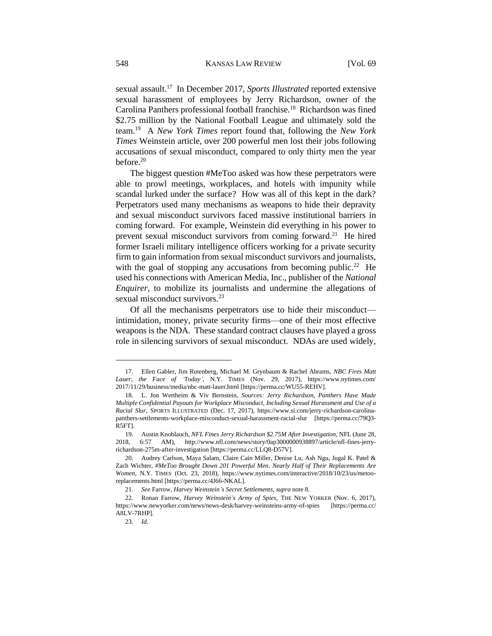sexual assault.<sup>17</sup> In December 2017, *Sports Illustrated* reported extensive sexual harassment of employees by Jerry Richardson, owner of the Carolina Panthers professional football franchise.<sup>18</sup> Richardson was fined \$2.75 million by the National Football League and ultimately sold the team.<sup>19</sup> A *New York Times* report found that, following the *New York Times* Weinstein article, over 200 powerful men lost their jobs following accusations of sexual misconduct, compared to only thirty men the year before.<sup>20</sup>

The biggest question #MeToo asked was how these perpetrators were able to prowl meetings, workplaces, and hotels with impunity while scandal lurked under the surface? How was all of this kept in the dark? Perpetrators used many mechanisms as weapons to hide their depravity and sexual misconduct survivors faced massive institutional barriers in coming forward. For example, Weinstein did everything in his power to prevent sexual misconduct survivors from coming forward.<sup>21</sup> He hired former Israeli military intelligence officers working for a private security firm to gain information from sexual misconduct survivors and journalists, with the goal of stopping any accusations from becoming public.<sup>22</sup> He used his connections with American Media, Inc., publisher of the *National Enquirer*, to mobilize its journalists and undermine the allegations of sexual misconduct survivors.<sup>23</sup>

Of all the mechanisms perpetrators use to hide their misconduct intimidation, money, private security firms—one of their most effective weapons is the NDA. These standard contract clauses have played a gross role in silencing survivors of sexual misconduct. NDAs are used widely,

<sup>17.</sup> Ellen Gabler, Jim Rutenberg, Michael M. Grynbaum & Rachel Abrams, *NBC Fires Matt Lauer, the Face of 'Today'*, N.Y. TIMES (Nov. 29, 2017), https://www.nytimes.com/ 2017/11/29/business/media/nbc-matt-lauer.html [https://perma.cc/WU55-REHV].

<sup>18.</sup> L. Jon Wertheim & Viv Bernstein, *Sources: Jerry Richardson, Panthers Have Made Multiple Confidential Payouts for Workplace Misconduct, Including Sexual Harassment and Use of a Racial Slur*, SPORTS ILLUSTRATED (Dec. 17, 2017), https://www.si.com/jerry-richardson-carolinapanthers-settlements-workplace-misconduct-sexual-harassment-racial-slur [https://perma.cc/79Q3- R5FT].

<sup>19.</sup> Austin Knoblauch, *NFL Fines Jerry Richardson \$2.75M After Investigation*, NFL (June 28, 2018, 6:57 AM), http://www.nfl.com/news/story/0ap3000000938897/article/nfl-fines-jerryrichardson-275m-after-investigation [https://perma.cc/LLQ8-D57V].

<sup>20.</sup> Audrey Carlson, Maya Salam, Claire Cain Miller, Denise Lu, Ash Ngu, Jugal K. Patel & Zach Wichter, *#MeToo Brought Down 201 Powerful Men. Nearly Half of Their Replacements Are Women*, N.Y. TIMES (Oct. 23, 2018), https://www.nytimes.com/interactive/2018/10/23/us/metooreplacements.html [https://perma.cc/4J66-NKAL].

<sup>21.</sup> *See* Farrow, *Harvey Weinstein's Secret Settlements*, *supra* note 8.

<sup>22.</sup> Ronan Farrow, *Harvey Weinstein's Army of Spies*, THE NEW YORKER (Nov. 6, 2017), <https://www.newyorker.com/news/news-desk/harvey-weinsteins-army-of-spies> [https://perma.cc/ A8LV-7RHP].

<sup>23.</sup> *Id.*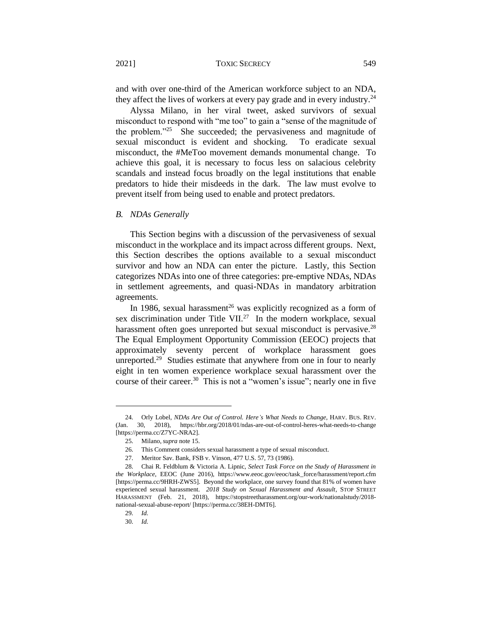and with over one-third of the American workforce subject to an NDA, they affect the lives of workers at every pay grade and in every industry.<sup>24</sup>

Alyssa Milano, in her viral tweet, asked survivors of sexual misconduct to respond with "me too" to gain a "sense of the magnitude of the problem."<sup>25</sup> She succeeded; the pervasiveness and magnitude of sexual misconduct is evident and shocking. To eradicate sexual misconduct, the #MeToo movement demands monumental change. To achieve this goal, it is necessary to focus less on salacious celebrity scandals and instead focus broadly on the legal institutions that enable predators to hide their misdeeds in the dark. The law must evolve to prevent itself from being used to enable and protect predators.

#### *B. NDAs Generally*

This Section begins with a discussion of the pervasiveness of sexual misconduct in the workplace and its impact across different groups. Next, this Section describes the options available to a sexual misconduct survivor and how an NDA can enter the picture. Lastly, this Section categorizes NDAs into one of three categories: pre-emptive NDAs, NDAs in settlement agreements, and quasi-NDAs in mandatory arbitration agreements.

In 1986, sexual harassment<sup>26</sup> was explicitly recognized as a form of sex discrimination under Title VII.<sup>27</sup> In the modern workplace, sexual harassment often goes unreported but sexual misconduct is pervasive.<sup>28</sup> The Equal Employment Opportunity Commission (EEOC) projects that approximately seventy percent of workplace harassment goes unreported.<sup>29</sup> Studies estimate that anywhere from one in four to nearly eight in ten women experience workplace sexual harassment over the course of their career.<sup>30</sup> This is not a "women's issue"; nearly one in five

<sup>24.</sup> Orly Lobel, *NDAs Are Out of Control. Here's What Needs to Change*, HARV. BUS. REV. (Jan. 30, 2018), https://hbr.org/2018/01/ndas-are-out-of-control-heres-what-needs-to-change [https://perma.cc/Z7YC-NRA2].

<sup>25.</sup> Milano, *supra* note 15.

<sup>26.</sup> This Comment considers sexual harassment a type of sexual misconduct.

<sup>27.</sup> Meritor Sav. Bank, FSB v. Vinson, 477 U.S. 57, 73 (1986).

<sup>28.</sup> Chai R. Feldblum & Victoria A. Lipnic, *Select Task Force on the Study of Harassment in the Workplace*, EEOC (June 2016), https://www.eeoc.gov/eeoc/task\_force/harassment/report.cfm [https://perma.cc/9HRH-ZWS5]. Beyond the workplace, one survey found that 81% of women have experienced sexual harassment. *2018 Study on Sexual Harassment and Assault*, STOP STREET HARASSMENT (Feb. 21, 2018), https://stopstreetharassment.org/our-work/nationalstudy/2018 national-sexual-abuse-report/ [https://perma.cc/38EH-DMT6].

<sup>29.</sup> *Id.* 

<sup>30.</sup> *Id.*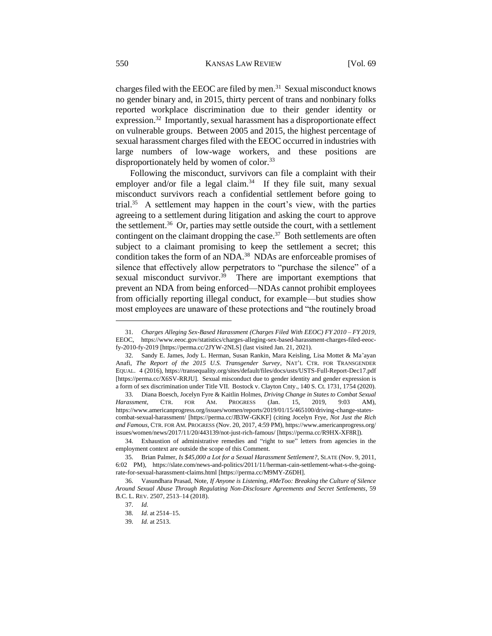charges filed with the EEOC are filed by men.<sup>31</sup> Sexual misconduct knows no gender binary and, in 2015, thirty percent of trans and nonbinary folks reported workplace discrimination due to their gender identity or expression.<sup>32</sup> Importantly, sexual harassment has a disproportionate effect on vulnerable groups. Between 2005 and 2015, the highest percentage of sexual harassment charges filed with the EEOC occurred in industries with large numbers of low-wage workers, and these positions are disproportionately held by women of color.<sup>33</sup>

Following the misconduct, survivors can file a complaint with their employer and/or file a legal claim. $34$  If they file suit, many sexual misconduct survivors reach a confidential settlement before going to trial.<sup>35</sup> A settlement may happen in the court's view, with the parties agreeing to a settlement during litigation and asking the court to approve the settlement.<sup>36</sup> Or, parties may settle outside the court, with a settlement contingent on the claimant dropping the case. $37$  Both settlements are often subject to a claimant promising to keep the settlement a secret; this condition takes the form of an NDA.<sup>38</sup> NDAs are enforceable promises of silence that effectively allow perpetrators to "purchase the silence" of a sexual misconduct survivor.<sup>39</sup> There are important exemptions that prevent an NDA from being enforced—NDAs cannot prohibit employees from officially reporting illegal conduct, for example—but studies show most employees are unaware of these protections and "the routinely broad

<sup>31.</sup> *Charges Alleging Sex-Based Harassment (Charges Filed With EEOC) FY 2010 – FY 2019*, EEOC, https://www.eeoc.gov/statistics/charges-alleging-sex-based-harassment-charges-filed-eeocfy-2010-fy-2019 [https://perma.cc/2JYW-2NLS] (last visited Jan. 21, 2021).

<sup>32.</sup> Sandy E. James, Jody L. Herman, Susan Rankin, Mara Keisling, Lisa Mottet & Ma'ayan Anafi, *The Report of the 2015 U.S. Transgender Survey*, NAT'L CTR. FOR TRANSGENDER EQUAL. 4 (2016), https://transequality.org/sites/default/files/docs/usts/USTS-Full-Report-Dec17.pdf [https://perma.cc/X6SV-RRJU]. Sexual misconduct due to gender identity and gender expression is a form of sex discrimination under Title VII. Bostock v. Clayton Cnty., 140 S. Ct. 1731, 1754 (2020).

<sup>33.</sup> Diana Boesch, Jocelyn Fyre & Kaitlin Holmes, *Driving Change in States to Combat Sexual Harassment*, CTR. FOR AM. PROGRESS (Jan. 15, 2019, 9:03 AM), https://www.americanprogress.org/issues/women/reports/2019/01/15/465100/driving-change-statescombat-sexual-harassment/ [https://perma.cc/JB3W-GKKF] (citing Jocelyn Frye, *Not Just the Rich and Famous*, CTR. FOR AM. PROGRESS (Nov. 20, 2017, 4:59 PM), https://www.americanprogress.org/ issues/women/news/2017/11/20/443139/not-just-rich-famous/ [https://perma.cc/R9HX-XF8R]).

<sup>34.</sup> Exhaustion of administrative remedies and "right to sue" letters from agencies in the employment context are outside the scope of this Comment.

<sup>35.</sup> Brian Palmer, *Is \$45,000 a Lot for a Sexual Harassment Settlement?*, SLATE (Nov. 9, 2011, 6:02 PM), https://slate.com/news-and-politics/2011/11/herman-cain-settlement-what-s-the-goingrate-for-sexual-harassment-claims.html [https://perma.cc/M9MY-Z6DH].

<sup>36.</sup> Vasundhara Prasad, Note, *If Anyone is Listening, #MeToo: Breaking the Culture of Silence Around Sexual Abuse Through Regulating Non-Disclosure Agreements and Secret Settlements*, 59 B.C. L. REV. 2507, 2513–14 (2018).

<sup>37.</sup> *Id.* 

<sup>38.</sup> *Id.* at 2514–15.

<sup>39.</sup> *Id.* at 2513.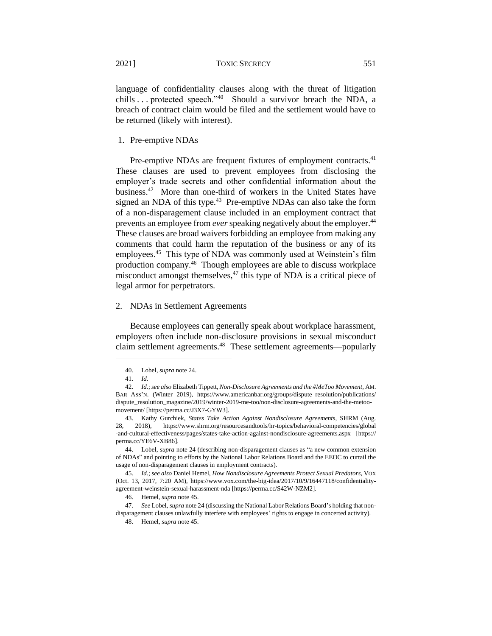language of confidentiality clauses along with the threat of litigation chills ... protected speech."<sup>40</sup> Should a survivor breach the NDA, a breach of contract claim would be filed and the settlement would have to be returned (likely with interest).

1. Pre-emptive NDAs

Pre-emptive NDAs are frequent fixtures of employment contracts.<sup>41</sup> These clauses are used to prevent employees from disclosing the employer's trade secrets and other confidential information about the business.<sup>42</sup> More than one-third of workers in the United States have signed an NDA of this type.<sup>43</sup> Pre-emptive NDAs can also take the form of a non-disparagement clause included in an employment contract that prevents an employee from *ever* speaking negatively about the employer.<sup>44</sup> These clauses are broad waivers forbidding an employee from making any comments that could harm the reputation of the business or any of its employees.<sup>45</sup> This type of NDA was commonly used at Weinstein's film production company.<sup>46</sup> Though employees are able to discuss workplace misconduct amongst themselves, $47$  this type of NDA is a critical piece of legal armor for perpetrators.

#### 2. NDAs in Settlement Agreements

Because employees can generally speak about workplace harassment, employers often include non-disclosure provisions in sexual misconduct claim settlement agreements.<sup>48</sup> These settlement agreements—popularly

<sup>40.</sup> Lobel, *supra* note 24.

<sup>41.</sup> *Id.* 

<sup>42.</sup> *Id.*; *see also* Elizabeth Tippett, *Non-Disclosure Agreements and the #MeToo Movement*, AM. BAR ASS'N. (Winter 2019), https://www.americanbar.org/groups/dispute\_resolution/publications/ dispute\_resolution\_magazine/2019/winter-2019-me-too/non-disclosure-agreements-and-the-metoomovement/ [https://perma.cc/J3X7-GYW3].

<sup>43.</sup> Kathy Gurchiek, *States Take Action Against Nondisclosure Agreements*, SHRM (Aug. 28, 2018), https://www.shrm.org/resourcesandtools/hr-topics/behavioral-competencies/global -and-cultural-effectiveness/pages/states-take-action-against-nondisclosure-agreements.aspx [https:// perma.cc/YE6V-XB86].

<sup>44.</sup> Lobel, *supra* note 24 (describing non-disparagement clauses as "a new common extension of NDAs" and pointing to efforts by the National Labor Relations Board and the EEOC to curtail the usage of non-disparagement clauses in employment contracts).

<sup>45.</sup> *Id.*; *see also* Daniel Hemel, *How Nondisclosure Agreements Protect Sexual Predators*, VOX (Oct. 13, 2017, 7:20 AM), https://www.vox.com/the-big-idea/2017/10/9/16447118/confidentialityagreement-weinstein-sexual-harassment-nda [https://perma.cc/S42W-NZM2].

<sup>46.</sup> Hemel, *supra* note 45.

<sup>47.</sup> *See* Lobel, *supra* note 24 (discussing the National Labor Relations Board's holding that nondisparagement clauses unlawfully interfere with employees' rights to engage in concerted activity).

<sup>48.</sup> Hemel, *supra* note 45.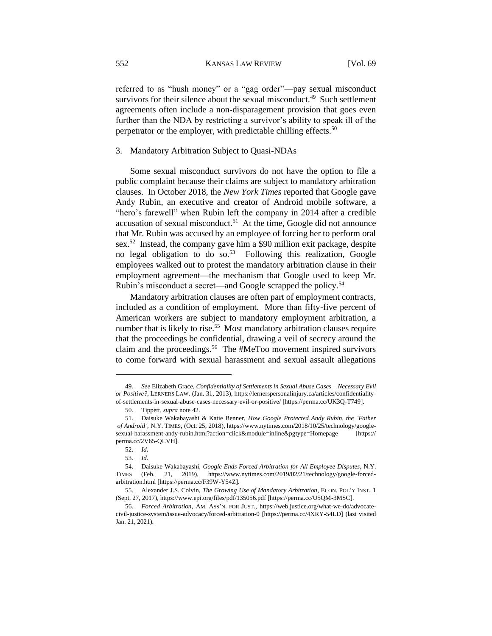referred to as "hush money" or a "gag order"—pay sexual misconduct survivors for their silence about the sexual misconduct.<sup>49</sup> Such settlement agreements often include a non-disparagement provision that goes even further than the NDA by restricting a survivor's ability to speak ill of the perpetrator or the employer, with predictable chilling effects.<sup>50</sup>

3. Mandatory Arbitration Subject to Quasi-NDAs

Some sexual misconduct survivors do not have the option to file a public complaint because their claims are subject to mandatory arbitration clauses. In October 2018, the *New York Times* reported that Google gave Andy Rubin, an executive and creator of Android mobile software, a "hero's farewell" when Rubin left the company in 2014 after a credible  $accusation$  of sexual misconduct.<sup>51</sup> At the time, Google did not announce that Mr. Rubin was accused by an employee of forcing her to perform oral sex.<sup>52</sup> Instead, the company gave him a \$90 million exit package, despite no legal obligation to do so.<sup>53</sup> Following this realization, Google employees walked out to protest the mandatory arbitration clause in their employment agreement—the mechanism that Google used to keep Mr. Rubin's misconduct a secret—and Google scrapped the policy.<sup>54</sup>

Mandatory arbitration clauses are often part of employment contracts, included as a condition of employment. More than fifty-five percent of American workers are subject to mandatory employment arbitration, a number that is likely to rise.<sup>55</sup> Most mandatory arbitration clauses require that the proceedings be confidential, drawing a veil of secrecy around the claim and the proceedings.<sup>56</sup> The #MeToo movement inspired survivors to come forward with sexual harassment and sexual assault allegations

<sup>49.</sup> *See* Elizabeth Grace, *Confidentiality of Settlements in Sexual Abuse Cases – Necessary Evil or Positive?*, LERNERS LAW. (Jan. 31, 2013), https://lernerspersonalinjury.ca/articles/confidentialityof-settlements-in-sexual-abuse-cases-necessary-evil-or-positive/ [https://perma.cc/UK3Q-T749].

<sup>50.</sup> Tippett, *supra* note 42.

<sup>51.</sup> Daisuke Wakabayashi & Katie Benner, *How Google Protected Andy Rubin, the 'Father of Android'*, N.Y. TIMES, (Oct. 25, 2018), https://www.nytimes.com/2018/10/25/technology/googlesexual-harassment-andy-rubin.html?action=click&module=inline&pgtype=Homepage [https:// perma.cc/2V65-QLVH].

<sup>52.</sup> *Id.*

<sup>53.</sup> *Id.*

<sup>54.</sup> Daisuke Wakabayashi, *Google Ends Forced Arbitration for All Employee Disputes*, N.Y. TIMES (Feb. 21, 2019), https://www.nytimes.com/2019/02/21/technology/google-forcedarbitration.html [https://perma.cc/F39W-Y54Z].

<sup>55.</sup> Alexander J.S. Colvin, *The Growing Use of Mandatory Arbitration*, ECON. POL'Y INST. 1 (Sept. 27, 2017), https://www.epi.org/files/pdf/135056.pdf [https://perma.cc/U5QM-3MSC].

<sup>56.</sup> *Forced Arbitration*, AM. ASS'N. FOR JUST., https://web.justice.org/what-we-do/advocatecivil-justice-system/issue-advocacy/forced-arbitration-0 [https://perma.cc/4XRY-54LD] (last visited Jan. 21, 2021).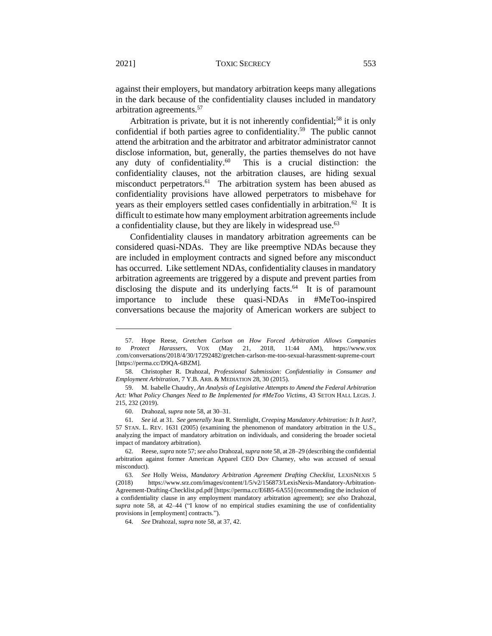against their employers, but mandatory arbitration keeps many allegations in the dark because of the confidentiality clauses included in mandatory arbitration agreements.<sup>57</sup>

Arbitration is private, but it is not inherently confidential;<sup>58</sup> it is only confidential if both parties agree to confidentiality.<sup>59</sup> The public cannot attend the arbitration and the arbitrator and arbitrator administrator cannot disclose information, but, generally, the parties themselves do not have any duty of confidentiality.<sup>60</sup> This is a crucial distinction: the confidentiality clauses, not the arbitration clauses, are hiding sexual misconduct perpetrators.<sup>61</sup> The arbitration system has been abused as confidentiality provisions have allowed perpetrators to misbehave for years as their employers settled cases confidentially in arbitration.<sup>62</sup> It is difficult to estimate how many employment arbitration agreements include a confidentiality clause, but they are likely in widespread use.<sup>63</sup>

Confidentiality clauses in mandatory arbitration agreements can be considered quasi-NDAs. They are like preemptive NDAs because they are included in employment contracts and signed before any misconduct has occurred. Like settlement NDAs, confidentiality clauses in mandatory arbitration agreements are triggered by a dispute and prevent parties from disclosing the dispute and its underlying facts.<sup>64</sup> It is of paramount importance to include these quasi-NDAs in #MeToo-inspired conversations because the majority of American workers are subject to

<sup>57.</sup> Hope Reese, *Gretchen Carlson on How Forced Arbitration Allows Companies to Protect Harassers*, VOX (May 21, 2018, 11:44 AM), https://www.vox .com/conversations/2018/4/30/17292482/gretchen-carlson-me-too-sexual-harassment-supreme-court [https://perma.cc/D9QA-6BZM].

<sup>58.</sup> Christopher R. Drahozal, *Professional Submission: Confidentiality in Consumer and Employment Arbitration*, 7 Y.B. ARB. & MEDIATION 28, 30 (2015).

<sup>59.</sup> M. Isabelle Chaudry, *An Analysis of Legislative Attempts to Amend the Federal Arbitration Act: What Policy Changes Need to Be Implemented for #MeToo Victims*, 43 SETON HALL LEGIS. J. 215, 232 (2019).

<sup>60.</sup> Drahozal, *supra* note 58, at 30–31.

<sup>61.</sup> *See id.* at 31*. See generally* Jean R. Sternlight, *Creeping Mandatory Arbitration: Is It Just?*, 57 STAN. L. REV. 1631 (2005) (examining the phenomenon of mandatory arbitration in the U.S., analyzing the impact of mandatory arbitration on individuals, and considering the broader societal impact of mandatory arbitration).

<sup>62.</sup> Reese, *supra* note 57; *see also* Drahozal, *supra* note 58, at 28–29 (describing the confidential arbitration against former American Apparel CEO Dov Charney, who was accused of sexual misconduct).

<sup>63.</sup> *See* Holly Weiss, *Mandatory Arbitration Agreement Drafting Checklist*, LEXISNEXIS 5 (2018) https://www.srz.com/images/content/1/5/v2/156873/LexisNexis-Mandatory-Arbitration-Agreement-Drafting-Checklist.pd.pdf [https://perma.cc/E6B5-6A55] (recommending the inclusion of a confidentiality clause in any employment mandatory arbitration agreement); *see also* Drahozal, *supra* note 58, at 42–44 ("I know of no empirical studies examining the use of confidentiality provisions in [employment] contracts.").

<sup>64.</sup> *See* Drahozal, *supra* note 58, at 37, 42.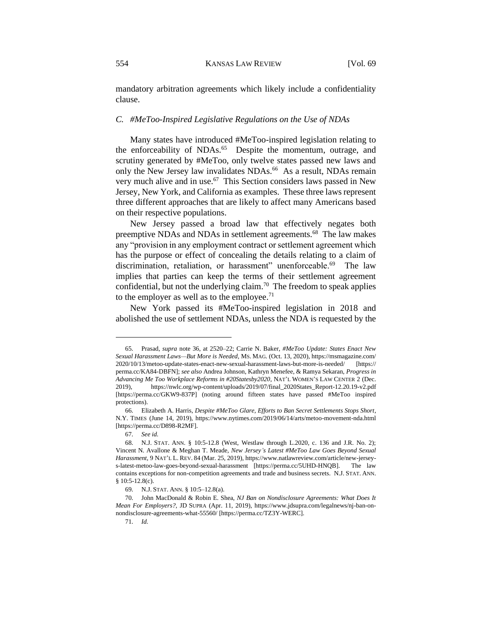mandatory arbitration agreements which likely include a confidentiality clause.

# *C. #MeToo-Inspired Legislative Regulations on the Use of NDAs*

Many states have introduced #MeToo-inspired legislation relating to the enforceability of NDAs.<sup>65</sup> Despite the momentum, outrage, and scrutiny generated by #MeToo, only twelve states passed new laws and only the New Jersey law invalidates NDAs.<sup>66</sup> As a result, NDAs remain very much alive and in use.<sup>67</sup> This Section considers laws passed in New Jersey, New York, and California as examples. These three laws represent three different approaches that are likely to affect many Americans based on their respective populations.

New Jersey passed a broad law that effectively negates both preemptive NDAs and NDAs in settlement agreements.<sup>68</sup> The law makes any "provision in any employment contract or settlement agreement which has the purpose or effect of concealing the details relating to a claim of discrimination, retaliation, or harassment" unenforceable.<sup>69</sup> The law implies that parties can keep the terms of their settlement agreement confidential, but not the underlying claim.<sup>70</sup> The freedom to speak applies to the employer as well as to the employee.<sup>71</sup>

New York passed its #MeToo-inspired legislation in 2018 and abolished the use of settlement NDAs, unless the NDA is requested by the

<sup>65.</sup> Prasad, *supra* note 36, at 2520–22; Carrie N. Baker, *#MeToo Update: States Enact New Sexual Harassment Laws—But More is Needed*, MS. MAG. (Oct. 13, 2020), https://msmagazine.com/ 2020/10/13/metoo-update-states-enact-new-sexual-harassment-laws-but-more-is-needed/ [https:// perma.cc/KA84-DBFN]; *see also* Andrea Johnson, Kathryn Menefee, & Ramya Sekaran, *Progress in Advancing Me Too Workplace Reforms in #20Statesby2020*, NAT'L WOMEN'S LAW CENTER 2 (Dec. 2019), https://nwlc.org/wp-content/uploads/2019/07/final\_2020States\_Report-12.20.19-v2.pdf [https://perma.cc/GKW9-837P] (noting around fifteen states have passed #MeToo inspired protections).

<sup>66.</sup> Elizabeth A. Harris, *Despite #MeToo Glare, Efforts to Ban Secret Settlements Stops Short*, N.Y. TIMES (June 14, 2019), https://www.nytimes.com/2019/06/14/arts/metoo-movement-nda.html [https://perma.cc/D898-R2MF].

<sup>67.</sup> *See id.* 

<sup>68.</sup> N.J. STAT. ANN. § 10:5-12.8 (West, Westlaw through L.2020, c. 136 and J.R. No. 2); Vincent N. Avallone & Meghan T. Meade, *New Jersey's Latest #MeToo Law Goes Beyond Sexual Harassment*, 9 NAT'L L. REV. 84 (Mar. 25, 2019), https://www.natlawreview.com/article/new-jerseys-latest-metoo-law-goes-beyond-sexual-harassment [https://perma.cc/5UHD-HNQB]. The law contains exceptions for non-competition agreements and trade and business secrets. N.J. STAT. ANN. § 10:5-12.8(c).

<sup>69.</sup> N.J. STAT. ANN. § 10:5–12.8(a).

<sup>70.</sup> John MacDonald & Robin E. Shea, *NJ Ban on Nondisclosure Agreements: What Does It Mean For Employers?*, JD SUPRA (Apr. 11, 2019), https://www.jdsupra.com/legalnews/nj-ban-onnondisclosure-agreements-what-55560/ [https://perma.cc/TZ3Y-WERC].

<sup>71.</sup> *Id.*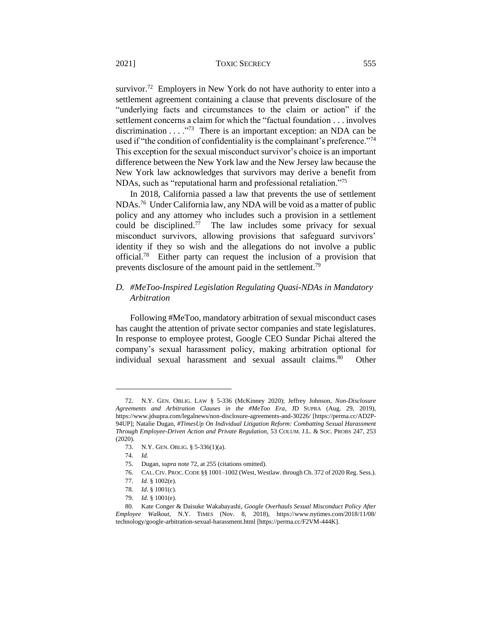survivor.<sup>72</sup> Employers in New York do not have authority to enter into a settlement agreement containing a clause that prevents disclosure of the "underlying facts and circumstances to the claim or action" if the settlement concerns a claim for which the "factual foundation . . . involves discrimination  $\dots$ <sup>73</sup>. There is an important exception: an NDA can be used if "the condition of confidentiality is the complainant's preference."<sup>74</sup> This exception for the sexual misconduct survivor's choice is an important difference between the New York law and the New Jersey law because the New York law acknowledges that survivors may derive a benefit from NDAs, such as "reputational harm and professional retaliation."<sup>75</sup>

In 2018, California passed a law that prevents the use of settlement NDAs.<sup>76</sup> Under California law, any NDA will be void as a matter of public policy and any attorney who includes such a provision in a settlement could be disciplined.<sup>77</sup> The law includes some privacy for sexual misconduct survivors, allowing provisions that safeguard survivors' identity if they so wish and the allegations do not involve a public official.<sup>78</sup> Either party can request the inclusion of a provision that prevents disclosure of the amount paid in the settlement.<sup>79</sup>

# *D. #MeToo-Inspired Legislation Regulating Quasi-NDAs in Mandatory Arbitration*

Following #MeToo, mandatory arbitration of sexual misconduct cases has caught the attention of private sector companies and state legislatures. In response to employee protest, Google CEO Sundar Pichai altered the company's sexual harassment policy, making arbitration optional for individual sexual harassment and sexual assault claims.<sup>80</sup> **Other** 

<sup>72.</sup> N.Y. GEN. OBLIG. LAW § 5-336 (McKinney 2020); Jeffrey Johnson*, Non-Disclosure Agreements and Arbitration Clauses in the #MeToo Era*, JD SUPRA (Aug. 29, 2019), https://www.jdsupra.com/legalnews/non-disclosure-agreements-and-30226/ [https://perma.cc/AD2P-94UP]; Natalie Dugan, *#TimesUp On Individual Litigation Reform: Combatting Sexual Harassment Through Employee-Driven Action and Private Regulation*, 53 COLUM. J.L. & SOC. PROBS 247, 253 (2020).

<sup>73.</sup> N.Y. GEN. OBLIG. § 5-336(1)(a).

<sup>74.</sup> *Id.*

<sup>75.</sup> Dugan, *supra* note 72, at 255 (citations omitted).

<sup>76.</sup> CAL.CIV. PROC.CODE §§ 1001–1002 (West, Westlaw. through Ch. 372 of 2020 Reg. Sess.).

<sup>77.</sup> *Id.* § 1002(e).

<sup>78.</sup> *Id.* § 1001(c).

<sup>79.</sup> *Id.* § 1001(e).

<sup>80.</sup> Kate Conger & Daisuke Wakabayashi, *Google Overhauls Sexual Misconduct Policy After Employee Walkout*, N.Y. TIMES (Nov. 8, 2018), https://www.nytimes.com/2018/11/08/ technology/google-arbitration-sexual-harassment.html [https://perma.cc/F2VM-444K].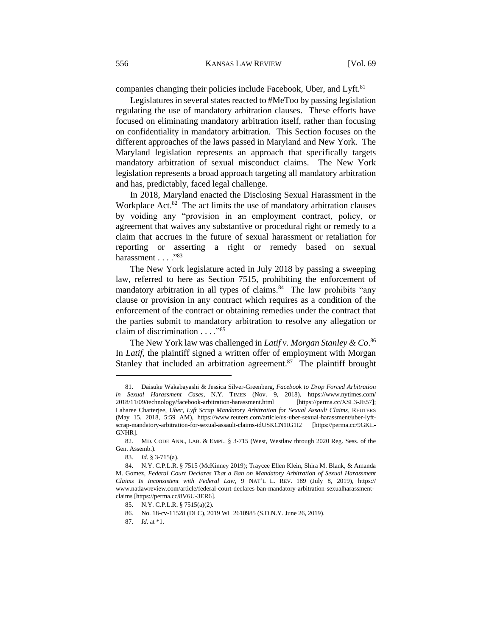companies changing their policies include Facebook, Uber, and Lyft.<sup>81</sup>

Legislatures in several states reacted to #MeToo by passing legislation regulating the use of mandatory arbitration clauses. These efforts have focused on eliminating mandatory arbitration itself, rather than focusing on confidentiality in mandatory arbitration. This Section focuses on the different approaches of the laws passed in Maryland and New York. The Maryland legislation represents an approach that specifically targets mandatory arbitration of sexual misconduct claims. The New York legislation represents a broad approach targeting all mandatory arbitration and has, predictably, faced legal challenge.

In 2018, Maryland enacted the Disclosing Sexual Harassment in the Workplace Act.<sup>82</sup> The act limits the use of mandatory arbitration clauses by voiding any "provision in an employment contract, policy, or agreement that waives any substantive or procedural right or remedy to a claim that accrues in the future of sexual harassment or retaliation for reporting or asserting a right or remedy based on sexual harassment . . . . "83

The New York legislature acted in July 2018 by passing a sweeping law, referred to here as Section 7515, prohibiting the enforcement of mandatory arbitration in all types of claims.<sup>84</sup> The law prohibits "any clause or provision in any contract which requires as a condition of the enforcement of the contract or obtaining remedies under the contract that the parties submit to mandatory arbitration to resolve any allegation or claim of discrimination . . . ."<sup>85</sup>

The New York law was challenged in *Latif v. Morgan Stanley & Co*. 86  In *Latif,* the plaintiff signed a written offer of employment with Morgan Stanley that included an arbitration agreement. $87$  The plaintiff brought

<sup>81.</sup> Daisuke Wakabayashi & Jessica Silver-Greenberg, *Facebook to Drop Forced Arbitration in Sexual Harassment Cases*, N.Y. TIMES (Nov. 9, 2018), https://www.nytimes.com/ 2018/11/09/technology/facebook-arbitration-harassment.html [https://perma.cc/XSL3-JE57]; Laharee Chatterjee, *Uber, Lyft Scrap Mandatory Arbitration for Sexual Assault Claims*, REUTERS (May 15, 2018, 5:59 AM), https://www.reuters.com/article/us-uber-sexual-harassment/uber-lyftscrap-mandatory-arbitration-for-sexual-assault-claims-idUSKCN1IG1I2 [https://perma.cc/9GKL-GNHR].

<sup>82.</sup> MD. CODE ANN., LAB. & EMPL. § 3-715 (West, Westlaw through 2020 Reg. Sess. of the Gen. Assemb.).

<sup>83.</sup> *Id.* § 3-715(a).

<sup>84.</sup> N.Y. C.P.L.R. § 7515 (McKinney 2019); Traycee Ellen Klein, Shira M. Blank, & Amanda M. Gomez, *Federal Court Declares That a Ban on Mandatory Arbitration of Sexual Harassment Claims Is Inconsistent with Federal Law*, 9 NAT'L L. REV. 189 (July 8, 2019), https:// www.natlawreview.com/article/federal-court-declares-ban-mandatory-arbitration-sexualharassmentclaims [https://perma.cc/8V6U-3ER6].

<sup>85.</sup> N.Y. C.P.L.R. § 7515(a)(2).

<sup>86.</sup> No. 18-cv-11528 (DLC), 2019 WL 2610985 (S.D.N.Y. June 26, 2019).

<sup>87.</sup> *Id.* at \*1.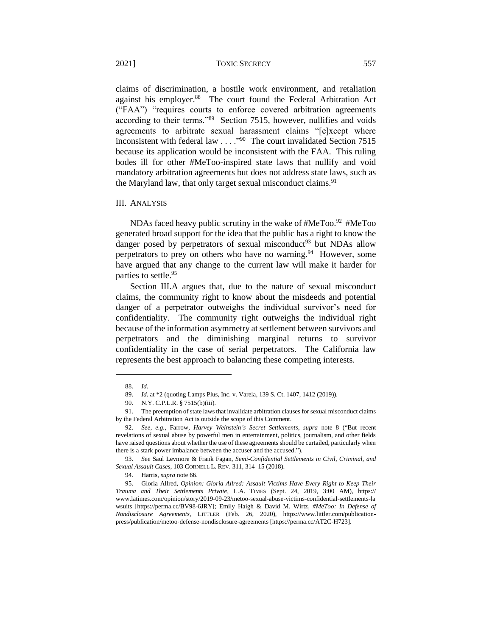claims of discrimination, a hostile work environment, and retaliation against his employer.<sup>88</sup> The court found the Federal Arbitration Act ("FAA") "requires courts to enforce covered arbitration agreements according to their terms."<sup>89</sup> Section 7515, however, nullifies and voids agreements to arbitrate sexual harassment claims "[e]xcept where inconsistent with federal law . . . . "<sup>90</sup> The court invalidated Section 7515 because its application would be inconsistent with the FAA. This ruling bodes ill for other #MeToo-inspired state laws that nullify and void mandatory arbitration agreements but does not address state laws, such as the Maryland law, that only target sexual misconduct claims.<sup>91</sup>

#### III. ANALYSIS

NDAs faced heavy public scrutiny in the wake of  $#MeToo.$ <sup>92</sup>  $#MeToo$ generated broad support for the idea that the public has a right to know the danger posed by perpetrators of sexual misconduct<sup>93</sup> but NDAs allow perpetrators to prey on others who have no warning.<sup>94</sup> However, some have argued that any change to the current law will make it harder for parties to settle.<sup>95</sup>

Section III.A argues that, due to the nature of sexual misconduct claims, the community right to know about the misdeeds and potential danger of a perpetrator outweighs the individual survivor's need for confidentiality. The community right outweighs the individual right because of the information asymmetry at settlement between survivors and perpetrators and the diminishing marginal returns to survivor confidentiality in the case of serial perpetrators. The California law represents the best approach to balancing these competing interests.

<sup>88.</sup> *Id.* 

<sup>89.</sup> *Id.* at \*2 (quoting Lamps Plus, Inc. v. Varela, 139 S. Ct. 1407, 1412 (2019)).

<sup>90.</sup> N.Y. C.P.L.R. § 7515(b)(iii).

<sup>91.</sup> The preemption of state laws that invalidate arbitration clauses for sexual misconduct claims by the Federal Arbitration Act is outside the scope of this Comment.

<sup>92.</sup> *See, e.g.*, Farrow, *Harvey Weinstein's Secret Settlements*, *supra* note 8 ("But recent revelations of sexual abuse by powerful men in entertainment, politics, journalism, and other fields have raised questions about whether the use of these agreements should be curtailed, particularly when there is a stark power imbalance between the accuser and the accused.").

<sup>93.</sup> *See* Saul Levmore & Frank Fagan, *Semi-Confidential Settlements in Civil, Criminal, and Sexual Assault Cases*, 103 CORNELL L. REV. 311, 314–15 (2018).

<sup>94.</sup> Harris, *supra* note 66.

<sup>95.</sup> Gloria Allred, *Opinion: Gloria Allred: Assault Victims Have Every Right to Keep Their Trauma and Their Settlements Private*, L.A. TIMES (Sept. 24, 2019, 3:00 AM), https:// www.latimes.com/opinion/story/2019-09-23/metoo-sexual-abuse-victims-confidential-settlements-la wsuits [https://perma.cc/BV98-6JRY]; Emily Haigh & David M. Wirtz, *#MeToo: In Defense of Nondisclosure Agreements*, LITTLER (Feb. 26, 2020), https://www.littler.com/publicationpress/publication/metoo-defense-nondisclosure-agreements [https://perma.cc/AT2C-H723].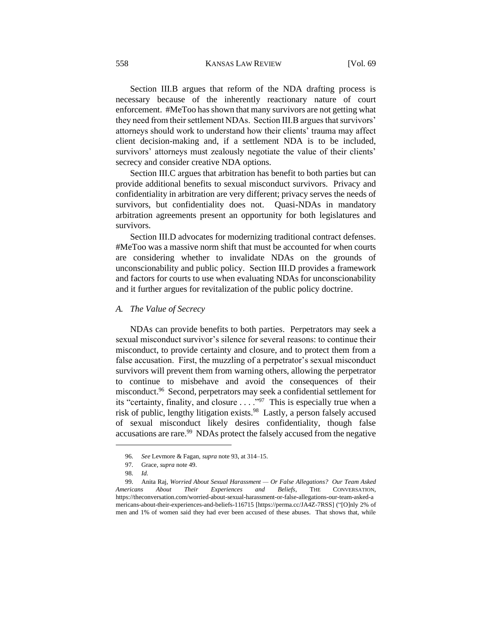#### 558 KANSAS LAW REVIEW [Vol. 69

Section III.B argues that reform of the NDA drafting process is necessary because of the inherently reactionary nature of court enforcement. #MeToo has shown that many survivors are not getting what they need from their settlement NDAs. Section III.B argues that survivors' attorneys should work to understand how their clients' trauma may affect client decision-making and, if a settlement NDA is to be included, survivors' attorneys must zealously negotiate the value of their clients' secrecy and consider creative NDA options.

Section III.C argues that arbitration has benefit to both parties but can provide additional benefits to sexual misconduct survivors. Privacy and confidentiality in arbitration are very different; privacy serves the needs of survivors, but confidentiality does not. Quasi-NDAs in mandatory arbitration agreements present an opportunity for both legislatures and survivors.

Section III.D advocates for modernizing traditional contract defenses. #MeToo was a massive norm shift that must be accounted for when courts are considering whether to invalidate NDAs on the grounds of unconscionability and public policy. Section III.D provides a framework and factors for courts to use when evaluating NDAs for unconscionability and it further argues for revitalization of the public policy doctrine.

### *A. The Value of Secrecy*

NDAs can provide benefits to both parties. Perpetrators may seek a sexual misconduct survivor's silence for several reasons: to continue their misconduct, to provide certainty and closure, and to protect them from a false accusation. First, the muzzling of a perpetrator's sexual misconduct survivors will prevent them from warning others, allowing the perpetrator to continue to misbehave and avoid the consequences of their misconduct.<sup>96</sup> Second, perpetrators may seek a confidential settlement for its "certainty, finality, and closure  $\ldots$ ."<sup>97</sup> This is especially true when a risk of public, lengthy litigation exists.<sup>98</sup> Lastly, a person falsely accused of sexual misconduct likely desires confidentiality, though false accusations are rare.<sup>99</sup> NDAs protect the falsely accused from the negative

<sup>96.</sup> *See* Levmore & Fagan, *supra* note 93, at 314–15.

<sup>97.</sup> Grace, *supra* note 49.

<sup>98.</sup> *Id.*

<sup>99.</sup> Anita Raj, *Worried About Sexual Harassment — Or False Allegations? Our Team Asked Americans About Their Experiences and Beliefs*, THE CONVERSATION, https://theconversation.com/worried-about-sexual-harassment-or-false-allegations-our-team-asked-a mericans-about-their-experiences-and-beliefs-116715 [https://perma.cc/JA4Z-7RSS] ("[O]nly 2% of men and 1% of women said they had ever been accused of these abuses. That shows that, while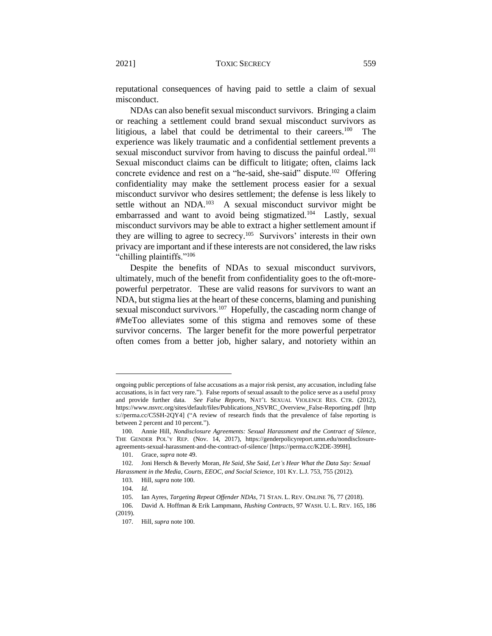reputational consequences of having paid to settle a claim of sexual misconduct.

NDAs can also benefit sexual misconduct survivors. Bringing a claim or reaching a settlement could brand sexual misconduct survivors as litigious, a label that could be detrimental to their careers.<sup>100</sup> The experience was likely traumatic and a confidential settlement prevents a sexual misconduct survivor from having to discuss the painful ordeal.<sup>101</sup> Sexual misconduct claims can be difficult to litigate; often, claims lack concrete evidence and rest on a "he-said, she-said" dispute.<sup>102</sup> Offering confidentiality may make the settlement process easier for a sexual misconduct survivor who desires settlement; the defense is less likely to settle without an NDA.<sup>103</sup> A sexual misconduct survivor might be embarrassed and want to avoid being stigmatized.<sup>104</sup> Lastly, sexual misconduct survivors may be able to extract a higher settlement amount if they are willing to agree to secrecy.<sup>105</sup> Survivors' interests in their own privacy are important and if these interests are not considered, the law risks "chilling plaintiffs."<sup>106</sup>

Despite the benefits of NDAs to sexual misconduct survivors, ultimately, much of the benefit from confidentiality goes to the oft-morepowerful perpetrator. These are valid reasons for survivors to want an NDA, but stigma lies at the heart of these concerns, blaming and punishing sexual misconduct survivors.<sup>107</sup> Hopefully, the cascading norm change of #MeToo alleviates some of this stigma and removes some of these survivor concerns. The larger benefit for the more powerful perpetrator often comes from a better job, higher salary, and notoriety within an

ongoing public perceptions of false accusations as a major risk persist, any accusation, including false accusations, is in fact very rare."). False reports of sexual assault to the police serve as a useful proxy and provide further data. *See False Reports*, NAT'L SEXUAL VIOLENCE RES. CTR. (2012), https://www.nsvrc.org/sites/default/files/Publications\_NSVRC\_Overview\_False-Reporting.pdf [http s://perma.cc/C5SH-2QY4] ("A review of research finds that the prevalence of false reporting is between 2 percent and 10 percent.").

<sup>100.</sup> Annie Hill, *Nondisclosure Agreements: Sexual Harassment and the Contract of Silence*, THE GENDER POL'Y REP. (Nov. 14, 2017), https://genderpolicyreport.umn.edu/nondisclosureagreements-sexual-harassment-and-the-contract-of-silence/ [https://perma.cc/K2DE-399H].

<sup>101.</sup> Grace, *supra* note 49.

<sup>102.</sup> Joni Hersch & Beverly Moran, *He Said, She Said, Let's Hear What the Data Say: Sexual Harassment in the Media, Courts, EEOC, and Social Science*, 101 KY. L.J. 753, 755 (2012).

<sup>103.</sup> Hill, *supra* note 100.

<sup>104.</sup> *Id.*

<sup>105.</sup> Ian Ayres, *Targeting Repeat Offender NDAs*, 71 STAN. L. REV. ONLINE 76, 77 (2018).

<sup>106.</sup> David A. Hoffman & Erik Lampmann, *Hushing Contracts*, 97 WASH. U. L. REV. 165, 186 (2019).

<sup>107.</sup> Hill, *supra* note 100.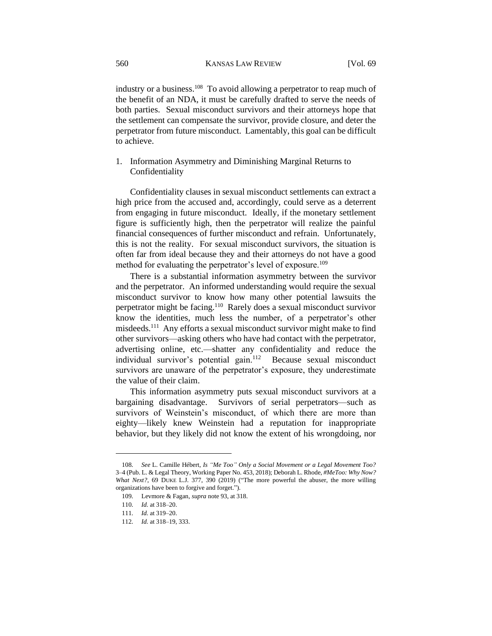industry or a business.<sup>108</sup> To avoid allowing a perpetrator to reap much of the benefit of an NDA, it must be carefully drafted to serve the needs of both parties. Sexual misconduct survivors and their attorneys hope that the settlement can compensate the survivor, provide closure, and deter the perpetrator from future misconduct. Lamentably, this goal can be difficult to achieve.

1. Information Asymmetry and Diminishing Marginal Returns to Confidentiality

Confidentiality clauses in sexual misconduct settlements can extract a high price from the accused and, accordingly, could serve as a deterrent from engaging in future misconduct. Ideally, if the monetary settlement figure is sufficiently high, then the perpetrator will realize the painful financial consequences of further misconduct and refrain. Unfortunately, this is not the reality. For sexual misconduct survivors, the situation is often far from ideal because they and their attorneys do not have a good method for evaluating the perpetrator's level of exposure.<sup>109</sup>

There is a substantial information asymmetry between the survivor and the perpetrator. An informed understanding would require the sexual misconduct survivor to know how many other potential lawsuits the perpetrator might be facing.<sup>110</sup> Rarely does a sexual misconduct survivor know the identities, much less the number, of a perpetrator's other misdeeds.<sup>111</sup> Any efforts a sexual misconduct survivor might make to find other survivors—asking others who have had contact with the perpetrator, advertising online, etc.—shatter any confidentiality and reduce the individual survivor's potential gain.<sup>112</sup> Because sexual misconduct survivors are unaware of the perpetrator's exposure, they underestimate the value of their claim.

This information asymmetry puts sexual misconduct survivors at a bargaining disadvantage. Survivors of serial perpetrators—such as survivors of Weinstein's misconduct, of which there are more than eighty—likely knew Weinstein had a reputation for inappropriate behavior, but they likely did not know the extent of his wrongdoing, nor

<sup>108.</sup> *See* L. Camille Hébert, *Is "Me Too" Only a Social Movement or a Legal Movement Too?* 3–4 (Pub. L. & Legal Theory, Working Paper No. 453, 2018); Deborah L. Rhode, *#MeToo: Why Now? What Next?*, 69 DUKE L.J. 377, 390 (2019) ("The more powerful the abuser, the more willing organizations have been to forgive and forget.").

<sup>109.</sup> Levmore & Fagan, *supra* note 93, at 318.

<sup>110.</sup> *Id.* at 318–20.

<sup>111.</sup> *Id.* at 319–20.

<sup>112.</sup> *Id.* at 318–19, 333.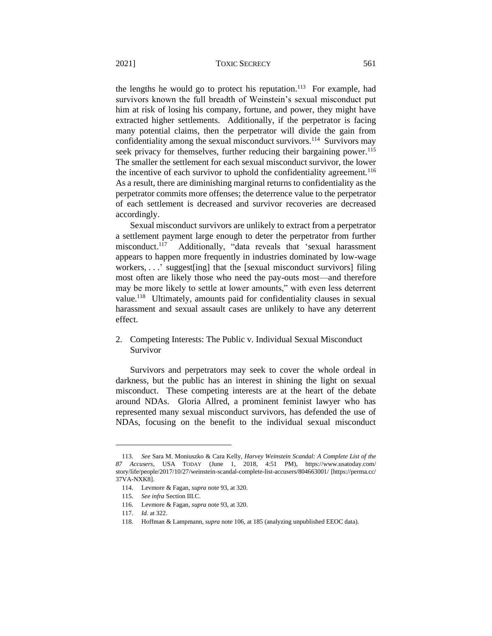the lengths he would go to protect his reputation.<sup>113</sup> For example, had survivors known the full breadth of Weinstein's sexual misconduct put him at risk of losing his company, fortune, and power, they might have extracted higher settlements. Additionally, if the perpetrator is facing many potential claims, then the perpetrator will divide the gain from confidentiality among the sexual misconduct survivors.<sup>114</sup> Survivors may seek privacy for themselves, further reducing their bargaining power.<sup>115</sup> The smaller the settlement for each sexual misconduct survivor, the lower the incentive of each survivor to uphold the confidentiality agreement.<sup>116</sup> As a result, there are diminishing marginal returns to confidentiality as the perpetrator commits more offenses; the deterrence value to the perpetrator of each settlement is decreased and survivor recoveries are decreased accordingly.

Sexual misconduct survivors are unlikely to extract from a perpetrator a settlement payment large enough to deter the perpetrator from further misconduct.<sup>117</sup> Additionally, "data reveals that 'sexual harassment appears to happen more frequently in industries dominated by low-wage workers, . . .' suggest[ing] that the [sexual misconduct survivors] filing most often are likely those who need the pay-outs most—and therefore may be more likely to settle at lower amounts," with even less deterrent value.<sup>118</sup> Ultimately, amounts paid for confidentiality clauses in sexual harassment and sexual assault cases are unlikely to have any deterrent effect.

2. Competing Interests: The Public v. Individual Sexual Misconduct Survivor

Survivors and perpetrators may seek to cover the whole ordeal in darkness, but the public has an interest in shining the light on sexual misconduct. These competing interests are at the heart of the debate around NDAs. Gloria Allred, a prominent feminist lawyer who has represented many sexual misconduct survivors, has defended the use of NDAs, focusing on the benefit to the individual sexual misconduct

<sup>113.</sup> *See* Sara M. Moniuszko & Cara Kelly, *Harvey Weinstein Scandal: A Complete List of the 87 Accusers*, USA TODAY (June 1, 2018, 4:51 PM), https://www.usatoday.com/ story/life/people/2017/10/27/weinstein-scandal-complete-list-accusers/804663001/ [https://perma.cc/ 37VA-NXK8].

<sup>114.</sup> Levmore & Fagan, *supra* note 93, at 320.

<sup>115.</sup> *See infra* Section III.C.

<sup>116.</sup> Levmore & Fagan, *supra* note 93, at 320.

<sup>117.</sup> *Id.* at 322.

<sup>118.</sup> Hoffman & Lampmann, *supra* note 106, at 185 (analyzing unpublished EEOC data).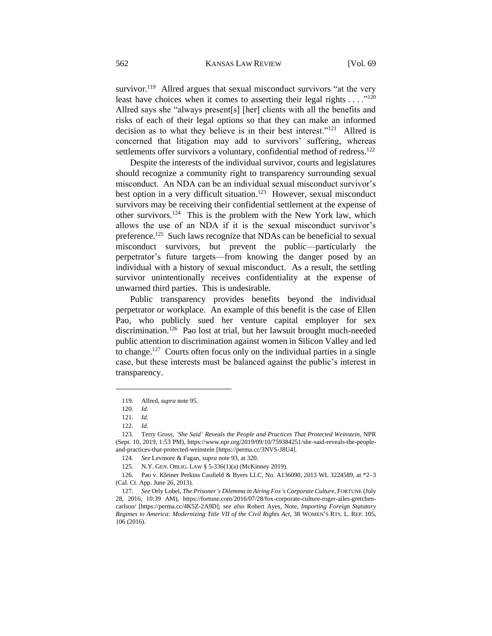survivor.<sup>119</sup> Allred argues that sexual misconduct survivors "at the very least have choices when it comes to asserting their legal rights  $\dots$ <sup>120</sup> Allred says she "always present[s] [her] clients with all the benefits and risks of each of their legal options so that they can make an informed decision as to what they believe is in their best interest."<sup>121</sup> Allred is concerned that litigation may add to survivors' suffering, whereas settlements offer survivors a voluntary, confidential method of redress.<sup>122</sup>

Despite the interests of the individual survivor, courts and legislatures should recognize a community right to transparency surrounding sexual misconduct. An NDA can be an individual sexual misconduct survivor's best option in a very difficult situation.<sup>123</sup> However, sexual misconduct survivors may be receiving their confidential settlement at the expense of other survivors.<sup>124</sup> This is the problem with the New York law, which allows the use of an NDA if it is the sexual misconduct survivor's preference.<sup>125</sup> Such laws recognize that NDAs can be beneficial to sexual misconduct survivors, but prevent the public—particularly the perpetrator's future targets—from knowing the danger posed by an individual with a history of sexual misconduct. As a result, the settling survivor unintentionally receives confidentiality at the expense of unwarned third parties. This is undesirable.

Public transparency provides benefits beyond the individual perpetrator or workplace. An example of this benefit is the case of Ellen Pao, who publicly sued her venture capital employer for sex discrimination.<sup>126</sup> Pao lost at trial, but her lawsuit brought much-needed public attention to discrimination against women in Silicon Valley and led to change.<sup>127</sup> Courts often focus only on the individual parties in a single case, but these interests must be balanced against the public's interest in transparency.

<sup>119.</sup> Allred, *supra* note 95.

<sup>120.</sup> *Id.*

<sup>121.</sup> *Id.*

<sup>122.</sup> *Id.*

<sup>123.</sup> Terry Gross, *'She Said' Reveals the People and Practices That Protected Weinstein*, NPR (Sept. 10, 2019, 1:53 PM), https://www.npr.org/2019/09/10/759384251/she-said-reveals-the-peopleand-practices-that-protected-weinstein [https://perma.cc/3NVS-J8U4].

<sup>124.</sup> *See* Levmore & Fagan, *supra* note 93, at 320.

<sup>125.</sup> N.Y. GEN. OBLIG. LAW § 5-336(1)(a) (McKinney 2019).

<sup>126.</sup> Pao v. Kleiner Perkins Caufield & Byers LLC, No. A136090, 2013 WL 3224589, at \*2–3 (Cal. Ct. App. June 26, 2013).

<sup>127.</sup> *See* Orly Lobel, *The Prisoner's Dilemma in Airing Fox's Corporate Culture*, FORTUNE (July 28, 2016, 10:39 AM), https://fortune.com/2016/07/28/fox-corporate-culture-roger-ailes-gretchencarlson/ [https://perma.cc/4K5Z-2A9D]; *see also* Robert Ayes, Note, *Importing Foreign Statutory Regimes to America: Modernizing Title VII of the Civil Rights Act*, 38 WOMEN'S RTS. L. REP. 105, 106 (2016).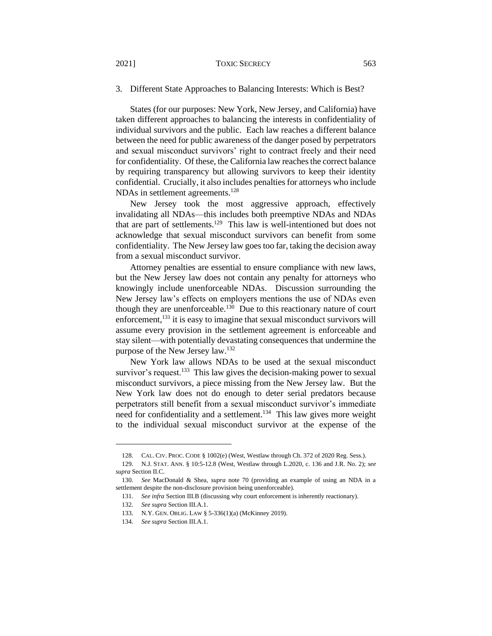#### 2021] TOXIC SECRECY 563

# 3. Different State Approaches to Balancing Interests: Which is Best?

States (for our purposes: New York, New Jersey, and California) have taken different approaches to balancing the interests in confidentiality of individual survivors and the public. Each law reaches a different balance between the need for public awareness of the danger posed by perpetrators and sexual misconduct survivors' right to contract freely and their need for confidentiality. Of these, the California law reaches the correct balance by requiring transparency but allowing survivors to keep their identity confidential. Crucially, it also includes penalties for attorneys who include NDAs in settlement agreements.<sup>128</sup>

New Jersey took the most aggressive approach, effectively invalidating all NDAs—this includes both preemptive NDAs and NDAs that are part of settlements.<sup>129</sup> This law is well-intentioned but does not acknowledge that sexual misconduct survivors can benefit from some confidentiality. The New Jersey law goes too far, taking the decision away from a sexual misconduct survivor.

Attorney penalties are essential to ensure compliance with new laws, but the New Jersey law does not contain any penalty for attorneys who knowingly include unenforceable NDAs. Discussion surrounding the New Jersey law's effects on employers mentions the use of NDAs even though they are unenforceable.<sup>130</sup> Due to this reactionary nature of court enforcement,  $131$  it is easy to imagine that sexual misconduct survivors will assume every provision in the settlement agreement is enforceable and stay silent—with potentially devastating consequences that undermine the purpose of the New Jersey law.<sup>132</sup>

New York law allows NDAs to be used at the sexual misconduct survivor's request.<sup>133</sup> This law gives the decision-making power to sexual misconduct survivors, a piece missing from the New Jersey law. But the New York law does not do enough to deter serial predators because perpetrators still benefit from a sexual misconduct survivor's immediate need for confidentiality and a settlement.<sup>134</sup> This law gives more weight to the individual sexual misconduct survivor at the expense of the

<sup>128.</sup> CAL. CIV. PROC. CODE § 1002(e) (West, Westlaw through Ch. 372 of 2020 Reg. Sess.).

<sup>129.</sup> N.J. STAT. ANN. § 10:5-12.8 (West, Westlaw through L.2020, c. 136 and J.R. No. 2); *see supra* Section II.C.

<sup>130.</sup> *See* MacDonald & Shea, *supra* note 70 (providing an example of using an NDA in a settlement despite the non-disclosure provision being unenforceable).

<sup>131.</sup> *See infra* Section III.B (discussing why court enforcement is inherently reactionary).

<sup>132.</sup> *See supra* Section III.A.1.

<sup>133.</sup> N.Y. GEN. OBLIG. LAW § 5-336(1)(a) (McKinney 2019).

<sup>134.</sup> *See supra* Section III.A.1.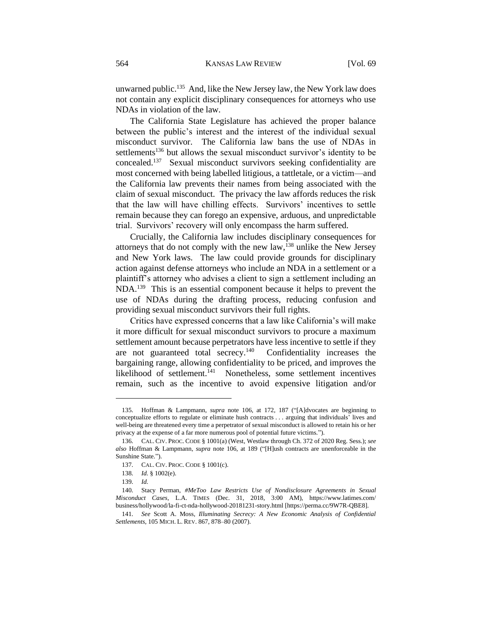unwarned public.<sup>135</sup> And, like the New Jersey law, the New York law does not contain any explicit disciplinary consequences for attorneys who use NDAs in violation of the law.

The California State Legislature has achieved the proper balance between the public's interest and the interest of the individual sexual misconduct survivor. The California law bans the use of NDAs in settlements<sup>136</sup> but allows the sexual misconduct survivor's identity to be concealed.<sup>137</sup> Sexual misconduct survivors seeking confidentiality are most concerned with being labelled litigious, a tattletale, or a victim—and the California law prevents their names from being associated with the claim of sexual misconduct. The privacy the law affords reduces the risk that the law will have chilling effects. Survivors' incentives to settle remain because they can forego an expensive, arduous, and unpredictable trial. Survivors' recovery will only encompass the harm suffered.

Crucially, the California law includes disciplinary consequences for attorneys that do not comply with the new  $law$ ,  $l^{138}$  unlike the New Jersey and New York laws. The law could provide grounds for disciplinary action against defense attorneys who include an NDA in a settlement or a plaintiff's attorney who advises a client to sign a settlement including an NDA.<sup>139</sup> This is an essential component because it helps to prevent the use of NDAs during the drafting process, reducing confusion and providing sexual misconduct survivors their full rights.

Critics have expressed concerns that a law like California's will make it more difficult for sexual misconduct survivors to procure a maximum settlement amount because perpetrators have less incentive to settle if they are not guaranteed total secrecy.<sup>140</sup> Confidentiality increases the bargaining range, allowing confidentiality to be priced, and improves the likelihood of settlement.<sup>141</sup> Nonetheless, some settlement incentives remain, such as the incentive to avoid expensive litigation and/or

<sup>135.</sup> Hoffman & Lampmann, *supra* note 106, at 172, 187 ("[A]dvocates are beginning to conceptualize efforts to regulate or eliminate hush contracts . . . arguing that individuals' lives and well-being are threatened every time a perpetrator of sexual misconduct is allowed to retain his or her privacy at the expense of a far more numerous pool of potential future victims.").

<sup>136.</sup> CAL. CIV. PROC. CODE § 1001(a) (West, Westlaw through Ch. 372 of 2020 Reg. Sess.); *see also* Hoffman & Lampmann, *supra* note 106, at 189 ("[H]ush contracts are unenforceable in the Sunshine State.").

<sup>137.</sup> CAL. CIV. PROC. CODE § 1001(c).

<sup>138.</sup> *Id.* § 1002(e).

<sup>139.</sup> *Id.*

<sup>140.</sup> Stacy Perman, *#MeToo Law Restricts Use of Nondisclosure Agreements in Sexual Misconduct Cases*, L.A. TIMES (Dec. 31, 2018, 3:00 AM), https://www.latimes.com/ business/hollywood/la-fi-ct-nda-hollywood-20181231-story.html [https://perma.cc/9W7R-QBE8].

<sup>141.</sup> *See* Scott A. Moss, *Illuminating Secrecy: A New Economic Analysis of Confidential Settlements*, 105 MICH. L. REV. 867, 878–80 (2007).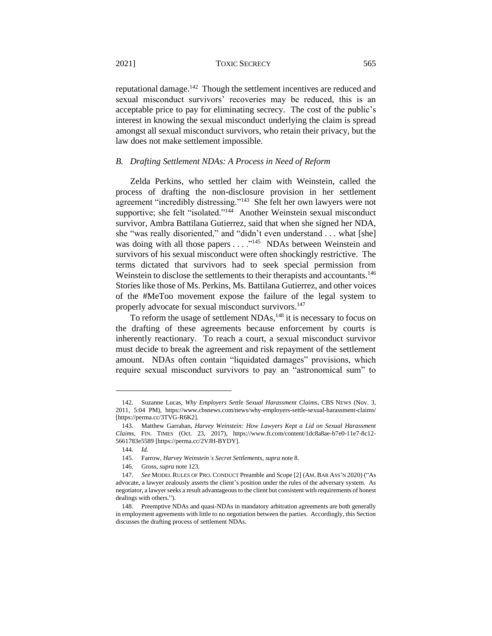reputational damage.<sup>142</sup> Though the settlement incentives are reduced and sexual misconduct survivors' recoveries may be reduced, this is an acceptable price to pay for eliminating secrecy. The cost of the public's interest in knowing the sexual misconduct underlying the claim is spread amongst all sexual misconduct survivors, who retain their privacy, but the law does not make settlement impossible.

#### *B. Drafting Settlement NDAs: A Process in Need of Reform*

Zelda Perkins, who settled her claim with Weinstein, called the process of drafting the non-disclosure provision in her settlement agreement "incredibly distressing."<sup>143</sup> She felt her own lawyers were not supportive; she felt "isolated."<sup>144</sup> Another Weinstein sexual misconduct survivor, Ambra Battilana Gutierrez, said that when she signed her NDA, she "was really disoriented," and "didn't even understand . . . what [she] was doing with all those papers  $\dots$ <sup>145</sup> NDAs between Weinstein and survivors of his sexual misconduct were often shockingly restrictive. The terms dictated that survivors had to seek special permission from Weinstein to disclose the settlements to their therapists and accountants.<sup>146</sup> Stories like those of Ms. Perkins, Ms. Battilana Gutierrez, and other voices of the #MeToo movement expose the failure of the legal system to properly advocate for sexual misconduct survivors.<sup>147</sup>

To reform the usage of settlement NDAs,<sup>148</sup> it is necessary to focus on the drafting of these agreements because enforcement by courts is inherently reactionary. To reach a court, a sexual misconduct survivor must decide to break the agreement and risk repayment of the settlement amount. NDAs often contain "liquidated damages" provisions, which require sexual misconduct survivors to pay an "astronomical sum" to

<sup>142.</sup> Suzanne Lucas, *Why Employers Settle Sexual Harassment Claims*, CBS NEWS (Nov. 3, 2011, 5:04 PM), https://www.cbsnews.com/news/why-employers-settle-sexual-harassment-claims/ [https://perma.cc/3TVG-R6K2].

<sup>143.</sup> Matthew Garrahan, *Harvey Weinstein: How Lawyers Kept a Lid on Sexual Harassment Claims*, FIN. TIMES (Oct. 23, 2017), https://www.ft.com/content/1dc8a8ae-b7e0-11e7-8c12- 5661783e5589 [https://perma.cc/2VJH-BYDY].

<sup>144.</sup> *Id.*

<sup>145.</sup> Farrow, *Harvey Weinstein's Secret Settlements*, *supra* note 8.

<sup>146.</sup> Gross, *supra* note 123.

<sup>147.</sup> *See* MODEL RULES OF PRO. CONDUCT Preamble and Scope [2] (AM. BAR ASS'N 2020) ("As advocate, a lawyer zealously asserts the client's position under the rules of the adversary system. As negotiator, a lawyer seeks a result advantageous to the client but consistent with requirements of honest dealings with others.").

<sup>148.</sup> Preemptive NDAs and quasi-NDAs in mandatory arbitration agreements are both generally in employment agreements with little to no negotiation between the parties. Accordingly, this Section discusses the drafting process of settlement NDAs.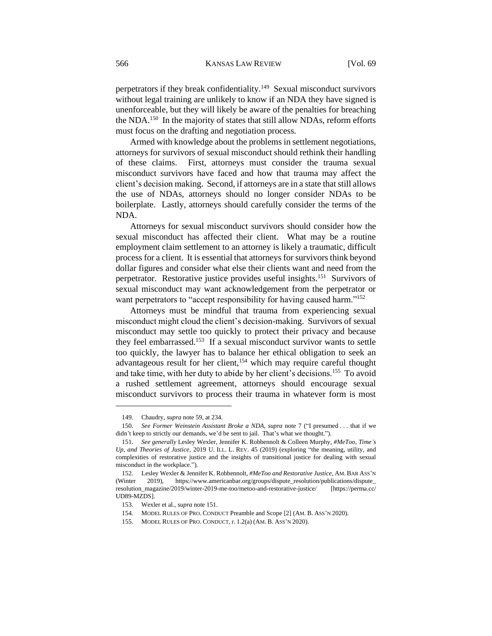perpetrators if they break confidentiality.<sup>149</sup> Sexual misconduct survivors without legal training are unlikely to know if an NDA they have signed is unenforceable, but they will likely be aware of the penalties for breaching the NDA.<sup>150</sup> In the majority of states that still allow NDAs, reform efforts must focus on the drafting and negotiation process.

Armed with knowledge about the problems in settlement negotiations, attorneys for survivors of sexual misconduct should rethink their handling of these claims. First, attorneys must consider the trauma sexual misconduct survivors have faced and how that trauma may affect the client's decision making. Second, if attorneys are in a state that still allows the use of NDAs, attorneys should no longer consider NDAs to be boilerplate. Lastly, attorneys should carefully consider the terms of the NDA.

Attorneys for sexual misconduct survivors should consider how the sexual misconduct has affected their client. What may be a routine employment claim settlement to an attorney is likely a traumatic, difficult process for a client. It is essential that attorneys for survivors think beyond dollar figures and consider what else their clients want and need from the perpetrator. Restorative justice provides useful insights.<sup>151</sup> Survivors of sexual misconduct may want acknowledgement from the perpetrator or want perpetrators to "accept responsibility for having caused harm."<sup>152</sup>

Attorneys must be mindful that trauma from experiencing sexual misconduct might cloud the client's decision-making. Survivors of sexual misconduct may settle too quickly to protect their privacy and because they feel embarrassed.<sup>153</sup> If a sexual misconduct survivor wants to settle too quickly, the lawyer has to balance her ethical obligation to seek an advantageous result for her client,<sup>154</sup> which may require careful thought and take time, with her duty to abide by her client's decisions.<sup>155</sup> To avoid a rushed settlement agreement, attorneys should encourage sexual misconduct survivors to process their trauma in whatever form is most

<sup>149.</sup> Chaudry, *supra* note 59, at 234.

<sup>150.</sup> *See Former Weinstein Assistant Broke a NDA*, *supra* note 7 ("I presumed . . . that if we didn't keep to strictly our demands, we'd be sent to jail. That's what we thought.").

<sup>151.</sup> *See generally* Lesley Wexler, Jennifer K. Robbennolt & Colleen Murphy, *#MeToo, Time's Up, and Theories of Justice*, 2019 U. ILL. L. REV. 45 (2019) (exploring "the meaning, utility, and complexities of restorative justice and the insights of transitional justice for dealing with sexual misconduct in the workplace.").

<sup>152.</sup> Lesley Wexler & Jennifer K. Robbennolt, *#MeToo and Restorative Justice*, AM. BAR ASS'N (Winter 2019), https://www.americanbar.org/groups/dispute\_resolution/publications/dispute\_ resolution\_magazine/2019/winter-2019-me-too/metoo-and-restorative-justice/ [https://perma.cc/ UD89-MZDS].

<sup>153.</sup> Wexler et al., *supra* note 151.

<sup>154.</sup> MODEL RULES OF PRO. CONDUCT Preamble and Scope [2] (AM. B. ASS'N 2020).

<sup>155.</sup> MODEL RULES OF PRO. CONDUCT, r. 1.2(a) (AM. B. ASS'N 2020).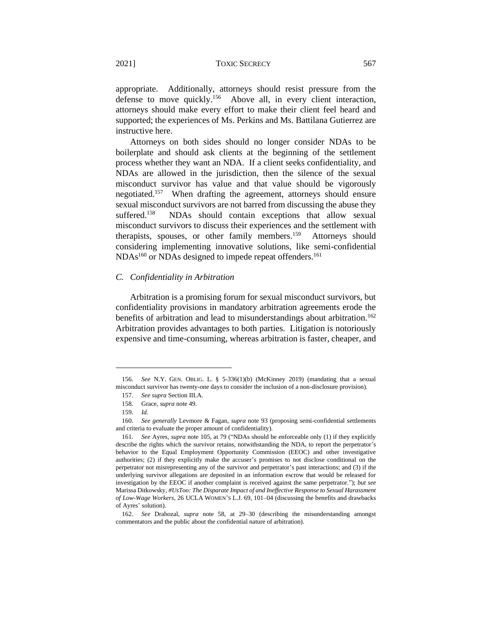appropriate. Additionally, attorneys should resist pressure from the defense to move quickly.<sup>156</sup> Above all, in every client interaction, attorneys should make every effort to make their client feel heard and supported; the experiences of Ms. Perkins and Ms. Battilana Gutierrez are instructive here.

Attorneys on both sides should no longer consider NDAs to be boilerplate and should ask clients at the beginning of the settlement process whether they want an NDA. If a client seeks confidentiality, and NDAs are allowed in the jurisdiction, then the silence of the sexual misconduct survivor has value and that value should be vigorously negotiated.<sup>157</sup> When drafting the agreement, attorneys should ensure sexual misconduct survivors are not barred from discussing the abuse they suffered.<sup>158</sup> NDAs should contain exceptions that allow sexual misconduct survivors to discuss their experiences and the settlement with therapists, spouses, or other family members.<sup>159</sup> Attorneys should considering implementing innovative solutions, like semi-confidential NDAs<sup>160</sup> or NDAs designed to impede repeat offenders.<sup>161</sup>

# *C. Confidentiality in Arbitration*

Arbitration is a promising forum for sexual misconduct survivors, but confidentiality provisions in mandatory arbitration agreements erode the benefits of arbitration and lead to misunderstandings about arbitration.<sup>162</sup> Arbitration provides advantages to both parties. Litigation is notoriously expensive and time-consuming, whereas arbitration is faster, cheaper, and

<sup>156.</sup> *See* N.Y. GEN. OBLIG. L. § 5-336(1)(b) (McKinney 2019) (mandating that a sexual misconduct survivor has twenty-one days to consider the inclusion of a non-disclosure provision).

<sup>157.</sup> *See supra* Section III.A.

<sup>158.</sup> Grace, *supra* note 49.

<sup>159.</sup> *Id.*

<sup>160.</sup> *See generally* Levmore & Fagan, *supra* note 93 (proposing semi-confidential settlements and criteria to evaluate the proper amount of confidentiality).

<sup>161.</sup> *See* Ayres, *supra* note 105, at 79 ("NDAs should be enforceable only (1) if they explicitly describe the rights which the survivor retains, notwithstanding the NDA, to report the perpetrator's behavior to the Equal Employment Opportunity Commission (EEOC) and other investigative authorities; (2) if they explicitly make the accuser's promises to not disclose conditional on the perpetrator not misrepresenting any of the survivor and perpetrator's past interactions; and (3) if the underlying survivor allegations are deposited in an information escrow that would be released for investigation by the EEOC if another complaint is received against the same perpetrator."); *but see*  Marissa Ditkowsky, *#UsToo: The Disparate Impact of and Ineffective Response to Sexual Harassment of Low-Wage Workers*, 26 UCLA WOMEN'S L.J. 69, 101–04 (discussing the benefits and drawbacks of Ayres' solution).

<sup>162.</sup> *See* Drahozal, *supra* note 58, at 29–30 (describing the misunderstanding amongst commentators and the public about the confidential nature of arbitration).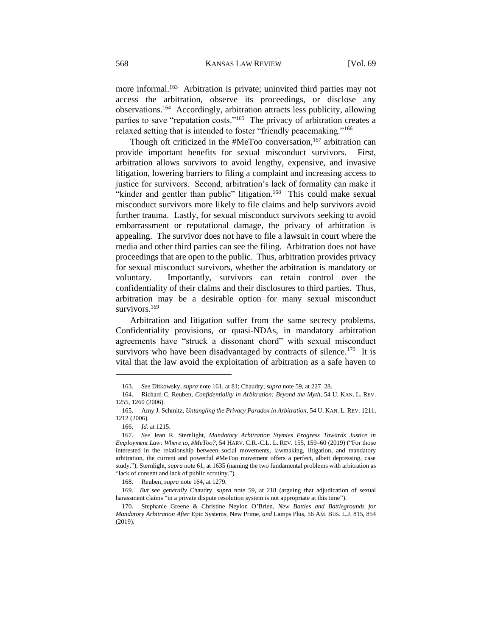more informal.<sup>163</sup> Arbitration is private; uninvited third parties may not access the arbitration, observe its proceedings, or disclose any observations.<sup>164</sup> Accordingly, arbitration attracts less publicity, allowing parties to save "reputation costs."<sup>165</sup> The privacy of arbitration creates a relaxed setting that is intended to foster "friendly peacemaking."<sup>166</sup>

Though oft criticized in the  $#MeToo$  conversation,<sup>167</sup> arbitration can provide important benefits for sexual misconduct survivors. First, arbitration allows survivors to avoid lengthy, expensive, and invasive litigation, lowering barriers to filing a complaint and increasing access to justice for survivors. Second, arbitration's lack of formality can make it "kinder and gentler than public" litigation.<sup>168</sup> This could make sexual misconduct survivors more likely to file claims and help survivors avoid further trauma. Lastly, for sexual misconduct survivors seeking to avoid embarrassment or reputational damage, the privacy of arbitration is appealing. The survivor does not have to file a lawsuit in court where the media and other third parties can see the filing. Arbitration does not have proceedings that are open to the public. Thus, arbitration provides privacy for sexual misconduct survivors, whether the arbitration is mandatory or voluntary. Importantly, survivors can retain control over the confidentiality of their claims and their disclosures to third parties. Thus, arbitration may be a desirable option for many sexual misconduct survivors.<sup>169</sup>

Arbitration and litigation suffer from the same secrecy problems. Confidentiality provisions, or quasi-NDAs, in mandatory arbitration agreements have "struck a dissonant chord" with sexual misconduct survivors who have been disadvantaged by contracts of silence.<sup>170</sup> It is vital that the law avoid the exploitation of arbitration as a safe haven to

<sup>163.</sup> *See* Ditkowsky, *supra* note 161, at 81; Chaudry, *supra* note 59, at 227–28.

<sup>164.</sup> Richard C. Reuben, *Confidentiality in Arbitration: Beyond the Myth*, 54 U. KAN. L. REV. 1255, 1260 (2006).

<sup>165.</sup> Amy J. Schmitz, *Untangling the Privacy Paradox in Arbitration*, 54 U. KAN. L. REV. 1211, 1212 (2006).

<sup>166.</sup> *Id.* at 1215.

<sup>167.</sup> *See* Jean R. Sternlight, *Mandatory Arbitration Stymies Progress Towards Justice in Employment Law: Where to, #MeToo?*, 54 HARV. C.R.-C.L. L. REV. 155, 159–60 (2019) ("For those interested in the relationship between social movements, lawmaking, litigation, and mandatory arbitration, the current and powerful #MeToo movement offers a perfect, albeit depressing, case study."); Sternlight, *supra* note 61, at 1635 (naming the two fundamental problems with arbitration as "lack of consent and lack of public scrutiny.").

<sup>168.</sup> Reuben, *supra* note 164, at 1279.

<sup>169.</sup> *But see generally* Chaudry, *supra* note 59, at 218 (arguing that adjudication of sexual harassment claims "in a private dispute resolution system is not appropriate at this time").

<sup>170.</sup> Stephanie Greene & Christine Neylon O'Brien, *New Battles and Battlegrounds for Mandatory Arbitration After* Epic Systems*,* New Prime*, and* Lamps Plus, 56 AM. BUS. L.J. 815, 854 (2019).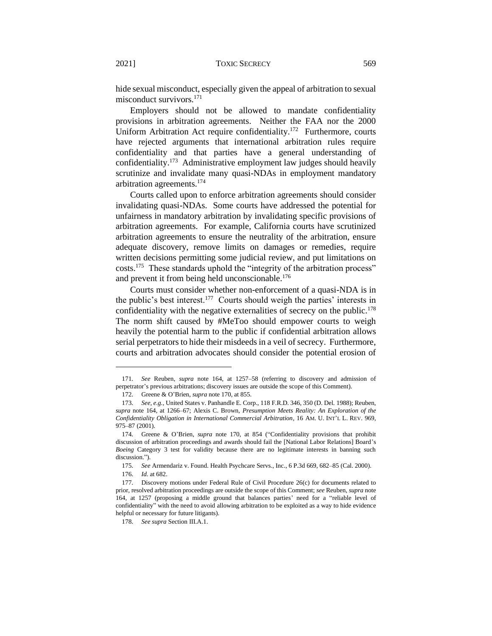hide sexual misconduct, especially given the appeal of arbitration to sexual misconduct survivors.<sup>171</sup>

Employers should not be allowed to mandate confidentiality provisions in arbitration agreements. Neither the FAA nor the 2000 Uniform Arbitration Act require confidentiality.<sup>172</sup> Furthermore, courts have rejected arguments that international arbitration rules require confidentiality and that parties have a general understanding of confidentiality.<sup>173</sup> Administrative employment law judges should heavily scrutinize and invalidate many quasi-NDAs in employment mandatory arbitration agreements.<sup>174</sup>

Courts called upon to enforce arbitration agreements should consider invalidating quasi-NDAs. Some courts have addressed the potential for unfairness in mandatory arbitration by invalidating specific provisions of arbitration agreements. For example, California courts have scrutinized arbitration agreements to ensure the neutrality of the arbitration, ensure adequate discovery, remove limits on damages or remedies, require written decisions permitting some judicial review, and put limitations on costs.<sup>175</sup> These standards uphold the "integrity of the arbitration process" and prevent it from being held unconscionable.<sup>176</sup>

Courts must consider whether non-enforcement of a quasi-NDA is in the public's best interest.<sup>177</sup> Courts should weigh the parties' interests in confidentiality with the negative externalities of secrecy on the public.<sup>178</sup> The norm shift caused by #MeToo should empower courts to weigh heavily the potential harm to the public if confidential arbitration allows serial perpetrators to hide their misdeeds in a veil of secrecy. Furthermore, courts and arbitration advocates should consider the potential erosion of

<sup>171.</sup> *See* Reuben, *supra* note 164, at 1257–58 (referring to discovery and admission of perpetrator's previous arbitrations; discovery issues are outside the scope of this Comment).

<sup>172.</sup> Greene & O'Brien, *supra* note 170, at 855.

<sup>173.</sup> *See, e.g.*, United States v. Panhandle E. Corp., 118 F.R.D. 346, 350 (D. Del. 1988); Reuben, *supra* note 164, at 1266–67; Alexis C. Brown, *Presumption Meets Reality: An Exploration of the Confidentiality Obligation in International Commercial Arbitration*, 16 AM. U. INT'L L. REV. 969, 975–87 (2001).

<sup>174.</sup> Greene & O'Brien, *supra* note 170, at 854 ("Confidentiality provisions that prohibit discussion of arbitration proceedings and awards should fail the [National Labor Relations] Board's *Boeing* Category 3 test for validity because there are no legitimate interests in banning such discussion.").

<sup>175.</sup> *See* Armendariz v. Found. Health Psychcare Servs., Inc., 6 P.3d 669, 682–85 (Cal. 2000).

<sup>176.</sup> *Id.* at 682.

<sup>177.</sup> Discovery motions under Federal Rule of Civil Procedure 26(c) for documents related to prior, resolved arbitration proceedings are outside the scope of this Comment; *see* Reuben, *supra* note 164, at 1257 (proposing a middle ground that balances parties' need for a "reliable level of confidentiality" with the need to avoid allowing arbitration to be exploited as a way to hide evidence helpful or necessary for future litigants).

<sup>178.</sup> *See supra* Section III.A.1.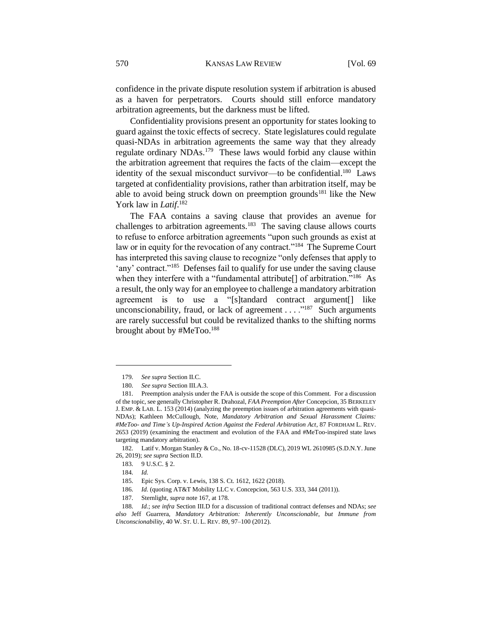confidence in the private dispute resolution system if arbitration is abused as a haven for perpetrators. Courts should still enforce mandatory arbitration agreements, but the darkness must be lifted.

Confidentiality provisions present an opportunity for states looking to guard against the toxic effects of secrecy. State legislatures could regulate quasi-NDAs in arbitration agreements the same way that they already regulate ordinary NDAs.<sup>179</sup> These laws would forbid any clause within the arbitration agreement that requires the facts of the claim—except the identity of the sexual misconduct survivor—to be confidential.<sup>180</sup> Laws targeted at confidentiality provisions, rather than arbitration itself, may be able to avoid being struck down on preemption grounds<sup>181</sup> like the New York law in *Latif*. 182

The FAA contains a saving clause that provides an avenue for challenges to arbitration agreements.<sup>183</sup> The saving clause allows courts to refuse to enforce arbitration agreements "upon such grounds as exist at law or in equity for the revocation of any contract."<sup>184</sup> The Supreme Court has interpreted this saving clause to recognize "only defenses that apply to 'any' contract."<sup>185</sup> Defenses fail to qualify for use under the saving clause when they interfere with a "fundamental attribute<sup>[]</sup> of arbitration."<sup>186</sup> As a result, the only way for an employee to challenge a mandatory arbitration agreement is to use a "[s]tandard contract argument[] like unconscionability, fraud, or lack of agreement  $\dots$ <sup>187</sup> Such arguments are rarely successful but could be revitalized thanks to the shifting norms brought about by #MeToo.<sup>188</sup>

182. Latif v. Morgan Stanley & Co., No. 18-cv-11528 (DLC), 2019 WL 2610985 (S.D.N.Y. June 26, 2019); *see supra* Section II.D.

186. *Id.* (quoting AT&T Mobility LLC v. Concepcion, 563 U.S. 333, 344 (2011)).

<sup>179.</sup> *See supra* Section II.C.

<sup>180.</sup> *See supra* Section III.A.3.

<sup>181.</sup> Preemption analysis under the FAA is outside the scope of this Comment. For a discussion of the topic, see generally Christopher R. Drahozal, *FAA Preemption After* Concepcion, 35 BERKELEY J. EMP. & LAB. L. 153 (2014) (analyzing the preemption issues of arbitration agreements with quasi-NDAs); Kathleen McCullough, Note, *Mandatory Arbitration and Sexual Harassment Claims: #MeToo- and Time's Up-Inspired Action Against the Federal Arbitration Act*, 87 FORDHAM L. REV. 2653 (2019) (examining the enactment and evolution of the FAA and #MeToo-inspired state laws targeting mandatory arbitration).

<sup>183. 9</sup> U.S.C. § 2.

<sup>184.</sup> *Id.*

<sup>185.</sup> Epic Sys. Corp. v. Lewis, 138 S. Ct. 1612, 1622 (2018).

<sup>187.</sup> Sternlight, *supra* note 167, at 178.

<sup>188.</sup> *Id.*; *see infra* Section III.D for a discussion of traditional contract defenses and NDAs; *see also* Jeff Guarrera, *Mandatory Arbitration: Inherently Unconscionable, but Immune from Unconscionability*, 40 W. ST. U. L. REV. 89, 97–100 (2012).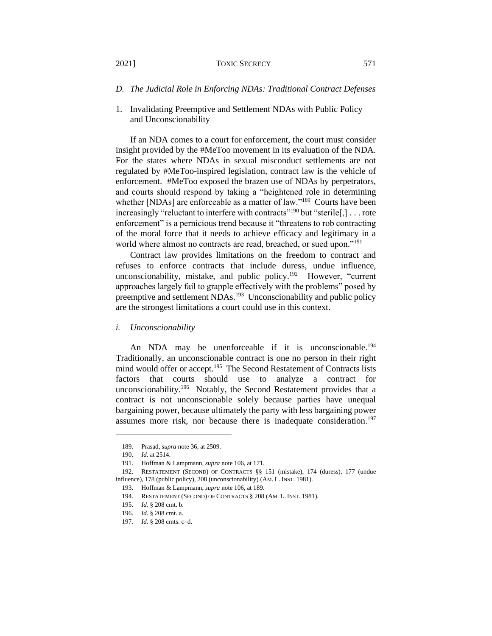#### 2021] TOXIC SECRECY 571

- *D. The Judicial Role in Enforcing NDAs: Traditional Contract Defenses*
- 1. Invalidating Preemptive and Settlement NDAs with Public Policy and Unconscionability

If an NDA comes to a court for enforcement, the court must consider insight provided by the #MeToo movement in its evaluation of the NDA. For the states where NDAs in sexual misconduct settlements are not regulated by #MeToo-inspired legislation, contract law is the vehicle of enforcement. #MeToo exposed the brazen use of NDAs by perpetrators, and courts should respond by taking a "heightened role in determining whether [NDAs] are enforceable as a matter of law."<sup>189</sup> Courts have been increasingly "reluctant to interfere with contracts"<sup>190</sup> but "sterile[,] . . . rote enforcement" is a pernicious trend because it "threatens to rob contracting of the moral force that it needs to achieve efficacy and legitimacy in a world where almost no contracts are read, breached, or sued upon."<sup>191</sup>

Contract law provides limitations on the freedom to contract and refuses to enforce contracts that include duress, undue influence, unconscionability, mistake, and public policy.<sup>192</sup> However, "current approaches largely fail to grapple effectively with the problems" posed by preemptive and settlement NDAs.<sup>193</sup> Unconscionability and public policy are the strongest limitations a court could use in this context.

*i. Unconscionability*

An NDA may be unenforceable if it is unconscionable.<sup>194</sup> Traditionally, an unconscionable contract is one no person in their right mind would offer or accept.<sup>195</sup> The Second Restatement of Contracts lists factors that courts should use to analyze a contract for unconscionability.<sup>196</sup> Notably, the Second Restatement provides that a contract is not unconscionable solely because parties have unequal bargaining power, because ultimately the party with less bargaining power assumes more risk, nor because there is inadequate consideration.<sup>197</sup>

<sup>189.</sup> Prasad, *supra* note 36, at 2509.

<sup>190.</sup> *Id.* at 2514.

<sup>191.</sup> Hoffman & Lampmann, *supra* note 106, at 171.

<sup>192.</sup> RESTATEMENT (SECOND) OF CONTRACTS §§ 151 (mistake), 174 (duress), 177 (undue influence), 178 (public policy), 208 (unconscionability) (AM. L. INST. 1981).

<sup>193.</sup> Hoffman & Lampmann, *supra* note 106, at 189.

<sup>194.</sup> RESTATEMENT (SECOND) OF CONTRACTS § 208 (AM. L. INST. 1981).

<sup>195.</sup> *Id.* § 208 cmt. b.

<sup>196.</sup> *Id.* § 208 cmt. a.

<sup>197.</sup> *Id.* § 208 cmts. c–d.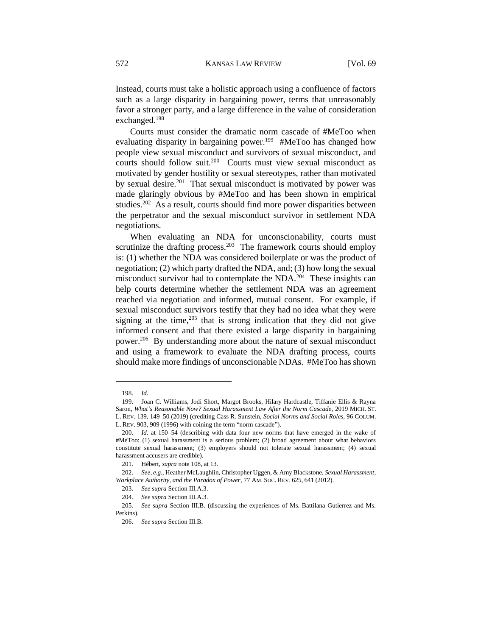Instead, courts must take a holistic approach using a confluence of factors such as a large disparity in bargaining power, terms that unreasonably favor a stronger party, and a large difference in the value of consideration exchanged.<sup>198</sup>

Courts must consider the dramatic norm cascade of #MeToo when evaluating disparity in bargaining power.<sup>199</sup> #MeToo has changed how people view sexual misconduct and survivors of sexual misconduct, and courts should follow suit.<sup>200</sup> Courts must view sexual misconduct as motivated by gender hostility or sexual stereotypes, rather than motivated by sexual desire.<sup>201</sup> That sexual misconduct is motivated by power was made glaringly obvious by #MeToo and has been shown in empirical studies.<sup>202</sup> As a result, courts should find more power disparities between the perpetrator and the sexual misconduct survivor in settlement NDA negotiations.

When evaluating an NDA for unconscionability, courts must scrutinize the drafting process.<sup>203</sup> The framework courts should employ is: (1) whether the NDA was considered boilerplate or was the product of negotiation; (2) which party drafted the NDA, and; (3) how long the sexual misconduct survivor had to contemplate the  $NDA$ <sup>204</sup> These insights can help courts determine whether the settlement NDA was an agreement reached via negotiation and informed, mutual consent. For example, if sexual misconduct survivors testify that they had no idea what they were signing at the time, $205$  that is strong indication that they did not give informed consent and that there existed a large disparity in bargaining power.<sup>206</sup> By understanding more about the nature of sexual misconduct and using a framework to evaluate the NDA drafting process, courts should make more findings of unconscionable NDAs. #MeToo has shown

<sup>198.</sup> *Id.*

<sup>199.</sup> Joan C. Williams, Jodi Short, Margot Brooks, Hilary Hardcastle, Tiffanie Ellis & Rayna Saron, *What's Reasonable Now? Sexual Harassment Law After the Norm Cascade*, 2019 MICH. ST. L. REV. 139, 149–50 (2019) (crediting Cass R. Sunstein, *Social Norms and Social Roles*, 96 COLUM. L. REV. 903, 909 (1996) with coining the term "norm cascade").

<sup>200.</sup> *Id.* at 150–54 (describing with data four new norms that have emerged in the wake of #MeToo: (1) sexual harassment is a serious problem; (2) broad agreement about what behaviors constitute sexual harassment; (3) employers should not tolerate sexual harassment; (4) sexual harassment accusers are credible).

<sup>201.</sup> Hébert, *supra* note 108, at 13.

<sup>202.</sup> *See, e.g.*, Heather McLaughlin, Christopher Uggen, & Amy Blackstone, *Sexual Harassment, Workplace Authority, and the Paradox of Power*, 77 AM. SOC. REV. 625, 641 (2012).

<sup>203.</sup> *See supra* Section III.A.3.

<sup>204.</sup> *See supra* Section III.A.3.

<sup>205.</sup> *See supra* Section III.B. (discussing the experiences of Ms. Battilana Gutierrez and Ms. Perkins).

<sup>206.</sup> *See supra* Section III.B.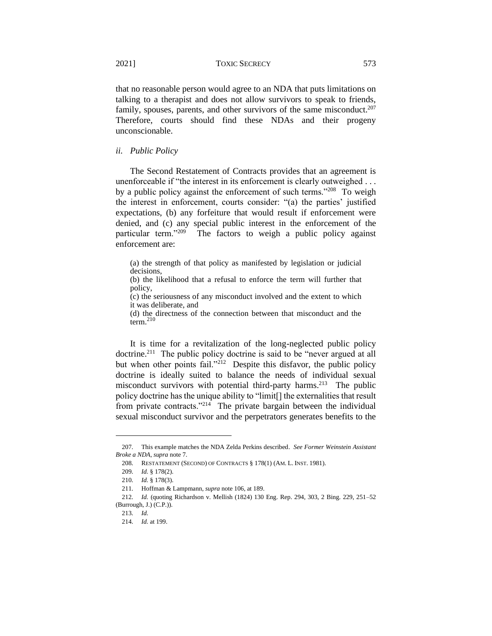that no reasonable person would agree to an NDA that puts limitations on talking to a therapist and does not allow survivors to speak to friends, family, spouses, parents, and other survivors of the same misconduct.<sup>207</sup> Therefore, courts should find these NDAs and their progeny unconscionable.

# *ii. Public Policy*

The Second Restatement of Contracts provides that an agreement is unenforceable if "the interest in its enforcement is clearly outweighed . . . by a public policy against the enforcement of such terms."<sup>208</sup> To weigh the interest in enforcement, courts consider: "(a) the parties' justified expectations, (b) any forfeiture that would result if enforcement were denied, and (c) any special public interest in the enforcement of the particular term."<sup>209</sup> The factors to weigh a public policy against enforcement are:

(a) the strength of that policy as manifested by legislation or judicial decisions,

(b) the likelihood that a refusal to enforce the term will further that policy,

(c) the seriousness of any misconduct involved and the extent to which it was deliberate, and

(d) the directness of the connection between that misconduct and the term.<sup>210</sup>

It is time for a revitalization of the long-neglected public policy doctrine.<sup>211</sup> The public policy doctrine is said to be "never argued at all but when other points fail."<sup>212</sup> Despite this disfavor, the public policy doctrine is ideally suited to balance the needs of individual sexual misconduct survivors with potential third-party harms.<sup>213</sup> The public policy doctrine has the unique ability to "limit[] the externalities that result from private contracts."<sup>214</sup> The private bargain between the individual sexual misconduct survivor and the perpetrators generates benefits to the

<sup>207.</sup> This example matches the NDA Zelda Perkins described. *See Former Weinstein Assistant Broke a NDA*, *supra* note 7.

<sup>208.</sup> RESTATEMENT (SECOND) OF CONTRACTS § 178(1) (AM. L. INST. 1981).

<sup>209.</sup> *Id.* § 178(2).

<sup>210.</sup> *Id.* § 178(3).

<sup>211.</sup> Hoffman & Lampmann, *supra* note 106, at 189.

<sup>212.</sup> *Id.* (quoting Richardson v. Mellish (1824) 130 Eng. Rep. 294, 303, 2 Bing. 229, 251–52 (Burrough, J.) (C.P.)).

<sup>213.</sup> *Id.*

<sup>214.</sup> *Id.* at 199.